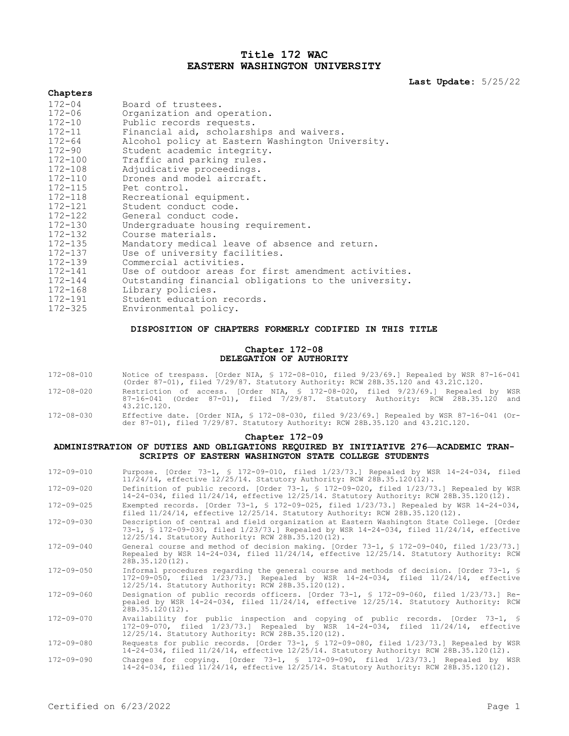# **Title 172 WAC EASTERN WASHINGTON UNIVERSITY**

**Last Update:** 5/25/22

| Chapters    |                                                      |
|-------------|------------------------------------------------------|
| $172 - 04$  | Board of trustees.                                   |
| $172 - 06$  | Organization and operation.                          |
| $172 - 10$  | Public records requests.                             |
| $172 - 11$  | Financial aid, scholarships and waivers.             |
| $172 - 64$  | Alcohol policy at Eastern Washington University.     |
| $172 - 90$  | Student academic integrity.                          |
| $172 - 100$ | Traffic and parking rules.                           |
| $172 - 108$ | Adjudicative proceedings.                            |
| 172-110     | Drones and model aircraft.                           |
| $172 - 115$ | Pet control.                                         |
| $172 - 118$ | Recreational equipment.                              |
| 172-121     | Student conduct code.                                |
| 172-122     | General conduct code.                                |
| $172 - 130$ | Undergraduate housing requirement.                   |
| 172-132     | Course materials.                                    |
| 172-135     | Mandatory medical leave of absence and return.       |
| $172 - 137$ | Use of university facilities.                        |
| 172-139     | Commercial activities.                               |
| $172 - 141$ | Use of outdoor areas for first amendment activities. |
| $172 - 144$ | Outstanding financial obligations to the university. |
| $172 - 168$ | Library policies.                                    |
| 172-191     | Student education records.                           |
| $172 - 325$ | Environmental policy.                                |

# **DISPOSITION OF CHAPTERS FORMERLY CODIFIED IN THIS TITLE**

# **Chapter 172-08 DELEGATION OF AUTHORITY**

| 172-08-010       | Notice of trespass. [Order NIA, § 172-08-010, filed 9/23/69.] Repealed by WSR 87-16-041<br>(Order 87-01), filed 7/29/87. Statutory Authority: RCW 28B.35.120 and 43.21C.120.       |
|------------------|------------------------------------------------------------------------------------------------------------------------------------------------------------------------------------|
| $172 - 08 - 020$ | Restriction of access. [Order NIA, § 172-08-020, filed 9/23/69.] Repealed by WSR<br>87-16-041 (Order 87-01), filed 7/29/87. Statutory Authority: RCW 28B.35.120 and<br>43.21C.120. |
| 172-08-030       | Effective date. [Order NIA, § 172-08-030, filed 9/23/69.] Repealed by WSR 87-16-041 (Or-                                                                                           |

# **Chapter 172-09**

der 87-01), filed 7/29/87. Statutory Authority: RCW 28B.35.120 and 43.21C.120.

# **ADMINISTRATION OF DUTIES AND OBLIGATIONS REQUIRED BY INITIATIVE 276—ACADEMIC TRAN-SCRIPTS OF EASTERN WASHINGTON STATE COLLEGE STUDENTS**

| $172 - 09 - 010$ | Purpose. [Order 73-1, § 172-09-010, filed 1/23/73.] Repealed by WSR 14-24-034, filed<br>11/24/14, effective 12/25/14. Statutory Authority: RCW 28B.35.120(12).                                                                              |
|------------------|---------------------------------------------------------------------------------------------------------------------------------------------------------------------------------------------------------------------------------------------|
| $172 - 09 - 020$ | Definition of public record. [Order 73-1, § 172-09-020, filed 1/23/73.] Repealed by WSR<br>14-24-034, filed 11/24/14, effective 12/25/14. Statutory Authority: RCW 28B.35.120(12).                                                          |
| $172 - 09 - 025$ | Exempted records. [Order 73-1, § 172-09-025, filed $1/23/73$ .] Repealed by WSR 14-24-034,<br>filed $11/24/14$ , effective $12/25/14$ . Statutory Authority: RCW 28B.35.120(12).                                                            |
| $172 - 09 - 030$ | Description of central and field organization at Eastern Washington State College. [Order<br>73-1, § 172-09-030, filed 1/23/73.] Repealed by WSR 14-24-034, filed 11/24/14, effective<br>12/25/14. Statutory Authority: RCW 28B.35.120(12). |
| $172 - 09 - 040$ | General course and method of decision making. [Order 73-1, § 172-09-040, filed 1/23/73.]<br>Repealed by WSR 14-24-034, filed 11/24/14, effective 12/25/14. Statutory Authority: RCW<br>$28B.35.120(12)$ .                                   |
| $172 - 09 - 050$ | Informal procedures regarding the general course and methods of decision. [Order 73-1, §<br>172-09-050, filed 1/23/73.] Repealed by WSR 14-24-034, filed 11/24/14, effective<br>12/25/14. Statutory Authority: RCW 28B.35.120(12).          |
| $172 - 09 - 060$ | Designation of public records officers. [Order 73-1, § 172-09-060, filed 1/23/73.] Re-<br>pealed by WSR 14-24-034, filed 11/24/14, effective 12/25/14. Statutory Authority: RCW<br>28B.35.120(12).                                          |
| $172 - 09 - 070$ | Availability for public inspection and copying of public records. [Order 73-1, §<br>172-09-070, filed 1/23/73.1 Repealed by WSR 14-24-034, filed 11/24/14, effective<br>12/25/14. Statutory Authority: RCW 28B.35.120(12).                  |
| $172 - 09 - 080$ | Requests for public records. [Order 73-1, § 172-09-080, filed 1/23/73.] Repealed by WSR<br>14-24-034, filed 11/24/14, effective 12/25/14. Statutory Authority: RCW 28B.35.120(12).                                                          |
| $172 - 09 - 090$ | Charges for copying. [Order 73-1, § 172-09-090, filed 1/23/73.] Repealed by WSR<br>14-24-034, filed 11/24/14, effective 12/25/14. Statutory Authority: RCW 28B.35.120(12).                                                                  |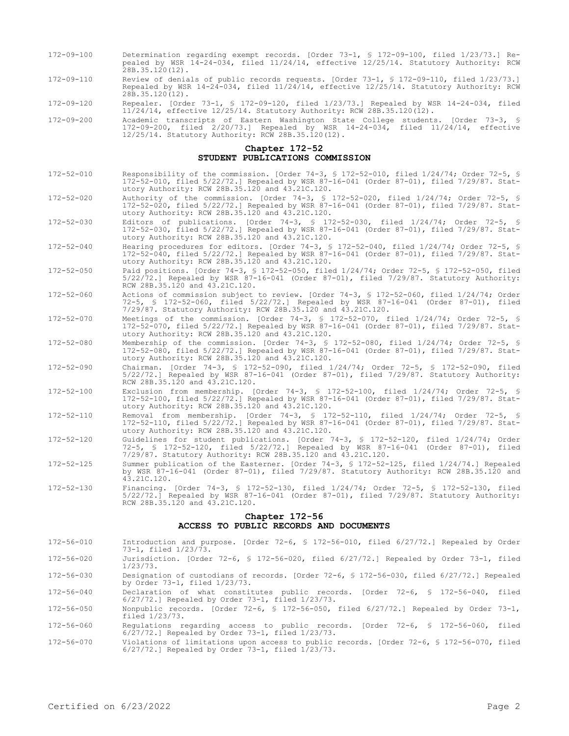- 172-09-100 Determination regarding exempt records. [Order 73-1, § 172-09-100, filed 1/23/73.] Repealed by WSR 14-24-034, filed 11/24/14, effective 12/25/14. Statutory Authority: RCW  $28B.35.120(12)$ .
- 172-09-110 Review of denials of public records requests. [Order 73-1, § 172-09-110, filed 1/23/73.] Repealed by WSR 14-24-034, filed 11/24/14, effective 12/25/14. Statutory Authority: RCW 28B.35.120(12).
- 172-09-120 Repealer. [Order 73-1, § 172-09-120, filed 1/23/73.] Repealed by WSR 14-24-034, filed 11/24/14, effective 12/25/14. Statutory Authority: RCW 28B.35.120(12).
- 172-09-200 Academic transcripts of Eastern Washington State College students. [Order 73-3, 172-09-200, filed 2/20/73.] Repealed by WSR 14-24-034, filed 11/24/14, effective 12/25/14. Statutory Authority: RCW 28B.35.120(12).

## **Chapter 172-52 STUDENT PUBLICATIONS COMMISSION**

- 172-52-010 Responsibility of the commission. [Order 74-3, § 172-52-010, filed 1/24/74; Order 72-5, § 172-52-010, filed 5/22/72.] Repealed by WSR 87-16-041 (Order 87-01), filed 7/29/87. Statutory Authority: RCW 28B.35.120 and 43.21C.120.
- 172-52-020 Authority of the commission. [Order 74-3, § 172-52-020, filed 1/24/74; Order 72-5, § 172-52-020, filed 5/22/72.] Repealed by WSR 87-16-041 (Order 87-01), filed 7/29/87. Statutory Authority: RCW 28B.35.120 and 43.21C.120.
- 172-52-030 Editors of publications. [Order 74-3, § 172-52-030, filed 1/24/74; Order 72-5, § 172-52-030, filed 5/22/72.] Repealed by WSR 87-16-041 (Order 87-01), filed 7/29/87. Statutory Authority: RCW 28B.35.120 and 43.21C.120.
- 172-52-040 Hearing procedures for editors. [Order 74-3, § 172-52-040, filed 1/24/74; Order 72-5, § 172-52-040, filed 5/22/72.] Repealed by WSR 87-16-041 (Order 87-01), filed 7/29/87. Statutory Authority: RCW 28B.35.120 and 43.21C.120.
- 172-52-050 Paid positions. [Order 74-3, § 172-52-050, filed 1/24/74; Order 72-5, § 172-52-050, filed 5/22/72.] Repealed by WSR 87-16-041 (Order 87-01), filed 7/29/87. Statutory Authority: RCW 28B.35.120 and 43.21C.120.
- 172-52-060 Actions of commission subject to review. [Order 74-3, § 172-52-060, filed 1/24/74; Order 72-5, § 172-52-060, filed 5/22/72.] Repealed by WSR 87-16-041 (Order 87-01), filed 7/29/87. Statutory Authority: RCW 28B.35.120 and 43.21C.120.
- 172-52-070 Meetings of the commission. [Order 74-3, § 172-52-070, filed 1/24/74; Order 72-5, § 172-52-070, filed 5/22/72.] Repealed by WSR 87-16-041 (Order 87-01), filed 7/29/87. Statutory Authority: RCW 28B.35.120 and 43.21C.120.
- 172-52-080 Membership of the commission. [Order 74-3, § 172-52-080, filed 1/24/74; Order 72-5, § 172-52-080, filed 5/22/72.] Repealed by WSR 87-16-041 (Order 87-01), filed 7/29/87. Statutory Authority: RCW 28B.35.120 and 43.21C.120.
- 172-52-090 Chairman. [Order 74-3, § 172-52-090, filed 1/24/74; Order 72-5, § 172-52-090, filed 5/22/72.] Repealed by WSR 87-16-041 (Order 87-01), filed 7/29/87. Statutory Authority: RCW 28B.35.120 and 43.21C.120.
- 172-52-100 Exclusion from membership. [Order 74-3, § 172-52-100, filed 1/24/74; Order 72-5, § 172-52-100, filed 5/22/72.] Repealed by WSR 87-16-041 (Order 87-01), filed 7/29/87. Statutory Authority: RCW 28B.35.120 and 43.21C.120.
- 172-52-110 Removal from membership. [Order 74-3, § 172-52-110, filed 1/24/74; Order 72-5, § 172-52-110, filed 5/22/72.] Repealed by WSR 87-16-041 (Order 87-01), filed 7/29/87. Statutory Authority: RCW 28B.35.120 and 43.21C.120.
- 172-52-120 Guidelines for student publications. [Order 74-3, § 172-52-120, filed 1/24/74; Order 72-5, § 172-52-120, filed 5/22/72.] Repealed by WSR 87-16-041 (Order 87-01), filed 7/29/87. Statutory Authority: RCW 28B.35.120 and 43.21C.120.
- 172-52-125 Summer publication of the Easterner. [Order 74-3, § 172-52-125, filed 1/24/74.] Repealed by WSR 87-16-041 (Order 87-01), filed 7/29/87. Statutory Authority: RCW 28B.35.120 and 43.21C.120.
- 172-52-130 Financing. [Order 74-3, § 172-52-130, filed 1/24/74; Order 72-5, § 172-52-130, filed 5/22/72.] Repealed by WSR 87-16-041 (Order 87-01), filed 7/29/87. Statutory Authority: RCW 28B.35.120 and 43.21C.120.

# **Chapter 172-56 ACCESS TO PUBLIC RECORDS AND DOCUMENTS**

172-56-010 Introduction and purpose. [Order 72-6, § 172-56-010, filed 6/27/72.] Repealed by Order 73-1, filed 1/23/73.

172-56-020 Jurisdiction. [Order 72-6, § 172-56-020, filed 6/27/72.] Repealed by Order 73-1, filed 1/23/73.

172-56-030 Designation of custodians of records. [Order 72-6, § 172-56-030, filed 6/27/72.] Repealed by Order 73-1, filed 1/23/73.

172-56-040 Declaration of what constitutes public records. [Order 72-6, § 172-56-040, filed 6/27/72.] Repealed by Order 73-1, filed 1/23/73.

172-56-050 Nonpublic records. [Order 72-6, § 172-56-050, filed 6/27/72.] Repealed by Order 73-1, filed 1/23/73.

172-56-060 Regulations regarding access to public records. [Order 72-6, § 172-56-060, filed 6/27/72.] Repealed by Order 73-1, filed 1/23/73.

172-56-070 Violations of limitations upon access to public records. [Order 72-6, § 172-56-070, filed 6/27/72.] Repealed by Order 73-1, filed 1/23/73.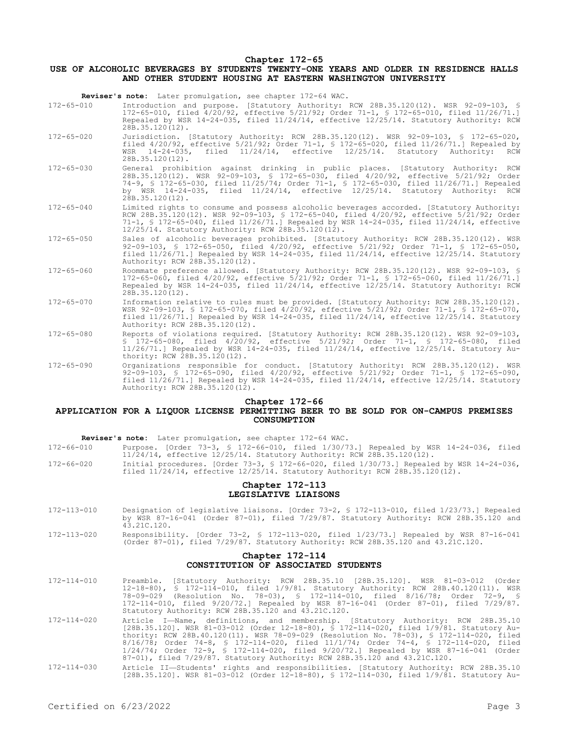#### **Chapter 172-65**

# **USE OF ALCOHOLIC BEVERAGES BY STUDENTS TWENTY-ONE YEARS AND OLDER IN RESIDENCE HALLS AND OTHER STUDENT HOUSING AT EASTERN WASHINGTON UNIVERSITY**

|                  | Reviser's note: Later promulgation, see chapter 172-64 WAC.                                                                                                                                                                                                                                                                                                              |
|------------------|--------------------------------------------------------------------------------------------------------------------------------------------------------------------------------------------------------------------------------------------------------------------------------------------------------------------------------------------------------------------------|
| $172 - 65 - 010$ | Introduction and purpose. [Statutory Authority: RCW 28B.35.120(12). WSR 92-09-103, §<br>172-65-010, filed 4/20/92, effective 5/21/92; Order 71-1, § 172-65-010, filed 11/26/71.1<br>Repealed by WSR 14-24-035, filed 11/24/14, effective 12/25/14. Statutory Authority: RCW<br>28B.35.120(12).                                                                           |
| $172 - 65 - 020$ | Jurisdiction. [Statutory Authority: RCW 28B.35.120(12). WSR 92-09-103, § 172-65-020,<br>filed $4/20/92$ , effective $5/21/92$ ; Order 71-1, § 172-65-020, filed 11/26/71.1 Repealed by<br>$11/24/14$ ,<br>effective 12/25/14. Statutory Authority:<br>$WSR$ 14-24-035,<br>filed<br>RCW<br>$28B.35.120(12)$ .                                                             |
| $172 - 65 - 030$ | General prohibition against drinking in public places. [Statutory Authority: RCW<br>28B.35.120(12). WSR 92-09-103, § 172-65-030, filed 4/20/92, effective 5/21/92; Order<br>74-9, § 172-65-030, filed 11/25/74; Order 71-1, § 172-65-030, filed 11/26/71.] Repealed<br>by WSR 14-24-035, filed 11/24/14, effective 12/25/14. Statutory Authority: RCW<br>28B.35.120(12). |
| $172 - 65 - 040$ | Limited rights to consume and possess alcoholic beverages accorded. [Statutory Authority:<br>RCW 28B.35.120(12). WSR 92-09-103, § 172-65-040, filed 4/20/92, effective 5/21/92; Order<br>71-1, § 172-65-040, filed 11/26/71.] Repealed by WSR 14-24-035, filed 11/24/14, effective<br>12/25/14. Statutory Authority: RCW 28B.35.120(12).                                 |
| $172 - 65 - 050$ | Sales of alcoholic beverages prohibited. [Statutory Authority: RCW 28B.35.120(12). WSR<br>92-09-103, § 172-65-050, filed 4/20/92, effective 5/21/92; Order 71-1, § 172-65-050,<br>filed $11/26/71$ . Repealed by WSR 14-24-035, filed $11/24/14$ , effective $12/25/14$ . Statutory<br>Authority: RCW 28B.35.120(12).                                                    |
| $172 - 65 - 060$ | Roommate preference allowed. [Statutory Authority: RCW 28B.35.120(12). WSR 92-09-103, §<br>172-65-060, filed 4/20/92, effective 5/21/92; Order 71-1, § 172-65-060, filed 11/26/71.1<br>Repealed by WSR 14-24-035, filed 11/24/14, effective 12/25/14. Statutory Authority: RCW<br>28B.35.120(12).                                                                        |
| $172 - 65 - 070$ | Information relative to rules must be provided. [Statutory Authority: RCW 28B.35.120(12).<br>WSR 92-09-103, \$ 172-65-070, filed 4/20/92, effective 5/21/92; Order 71-1, \$ 172-65-070,<br>filed $11/26/71$ . Repealed by WSR 14-24-035, filed $11/24/14$ , effective $12/25/14$ . Statutory<br>Authority: RCW 28B.35.120(12).                                           |
| $172 - 65 - 080$ | Reports of violations required. [Statutory Authority: RCW 28B.35.120(12). WSR 92-09-103,<br>§ 172-65-080, filed 4/20/92, effective 5/21/92; Order 71-1, § 172-65-080, filed<br>$11/26/71$ .] Repealed by WSR 14-24-035, filed $11/24/14$ , effective $12/25/14$ . Statutory Au-<br>thority: RCW 28B.35.120(12).                                                          |
| $172 - 65 - 090$ | Organizations responsible for conduct. [Statutory Authority: RCW 28B.35.120(12). WSR<br>92-09-103, § 172-65-090, filed 4/20/92, effective 5/21/92; Order 71-1, § 172-65-090,<br>filed 11/26/71.] Repealed by WSR 14-24-035, filed 11/24/14, effective 12/25/14. Statutory<br>Authority: RCW 28B.35.120(12).                                                              |
|                  | Chapter 172-66<br>ADDITONTON EOD A ITODOTITORNER DREMITTING BRRD TO BR SOID FOD ON-CAMBIIS DERMISRS                                                                                                                                                                                                                                                                      |

#### **APPLICATION FOR A LIQUOR LICENSE PERMITTING BEER TO BE SOLD FOR ON-CAMPUS PREMISES CONSUMPTION**

|  |  | Reviser's note: Later promulgation, see chapter 172-64 WAC. |
|--|--|-------------------------------------------------------------|
|--|--|-------------------------------------------------------------|

| 172-66-010 |                                                                              |  |  |  |  |  | Purpose. [Order 73-3, § 172-66-010, filed 1/30/73.] Repealed by WSR 14-24-036, filed |  |
|------------|------------------------------------------------------------------------------|--|--|--|--|--|--------------------------------------------------------------------------------------|--|
|            | $11/24/14$ , effective $12/25/14$ . Statutory Authority: RCW 28B.35.120(12). |  |  |  |  |  |                                                                                      |  |
|            |                                                                              |  |  |  |  |  |                                                                                      |  |

172-66-020 Initial procedures. [Order 73-3, § 172-66-020, filed 1/30/73.] Repealed by WSR 14-24-036, filed 11/24/14, effective 12/25/14. Statutory Authority: RCW 28B.35.120(12).

### **Chapter 172-113 LEGISLATIVE LIAISONS**

- 172-113-010 Designation of legislative liaisons. [Order 73-2, § 172-113-010, filed 1/23/73.] Repealed by WSR 87-16-041 (Order 87-01), filed 7/29/87. Statutory Authority: RCW 28B.35.120 and 43.21C.120.
- 172-113-020 Responsibility. [Order 73-2, § 172-113-020, filed 1/23/73.] Repealed by WSR 87-16-041 (Order 87-01), filed 7/29/87. Statutory Authority: RCW 28B.35.120 and 43.21C.120.

# **Chapter 172-114 CONSTITUTION OF ASSOCIATED STUDENTS**

| $172 - 114 - 010$ | Preamble. [Statutory Authority: RCW 28B.35.10 [28B.35.120]. WSR 81-03-012 (Order                                                                                                                                                                                                                                                                                                                                                                                                                                                           |
|-------------------|--------------------------------------------------------------------------------------------------------------------------------------------------------------------------------------------------------------------------------------------------------------------------------------------------------------------------------------------------------------------------------------------------------------------------------------------------------------------------------------------------------------------------------------------|
|                   | 12-18-80), § 172-114-010, filed 1/9/81. Statutory Authority: RCW 28B.40.120(11). WSR                                                                                                                                                                                                                                                                                                                                                                                                                                                       |
|                   | (Resolution No. 78-03), § 172-114-010, filed 8/16/78; Order 72-9, §<br>78-09-029                                                                                                                                                                                                                                                                                                                                                                                                                                                           |
|                   | 172-114-010, filed 9/20/72.1 Repealed by WSR 87-16-041 (Order 87-01), filed 7/29/87.                                                                                                                                                                                                                                                                                                                                                                                                                                                       |
|                   | Statutory Authority: RCW 28B.35.120 and 43.21C.120.                                                                                                                                                                                                                                                                                                                                                                                                                                                                                        |
| 172-114-020       | Article I-Name, definitions, and membership. [Statutory Authority: RCW 28B.35.10<br>[28B.35.120]. WSR 81-03-012 (Order 12-18-80), § 172-114-020, filed 1/9/81. Statutory Au-<br>thority: RCW 28B.40.120(11). WSR 78-09-029 (Resolution No. 78-03), § 172-114-020, filed<br>$8/16/78$ ; Order 74-8, § 172-114-020, filed 11/1/74; Order 74-4, § 172-114-020, filed<br>$1/24/74$ ; Order 72-9, § 172-114-020, filed 9/20/72.] Repealed by WSR 87-16-041 (Order<br>87-01), filed 7/29/87. Statutory Authority: RCW 28B.35.120 and 43.21C.120. |
| 172-114-030       | Article II—Students' rights and responsibilities. [Statutory Authority: RCW 28B.35.10]                                                                                                                                                                                                                                                                                                                                                                                                                                                     |
|                   | [28B.35.120]. WSR 81-03-012 (Order 12-18-80), § 172-114-030, filed 1/9/81. Statutory Au-                                                                                                                                                                                                                                                                                                                                                                                                                                                   |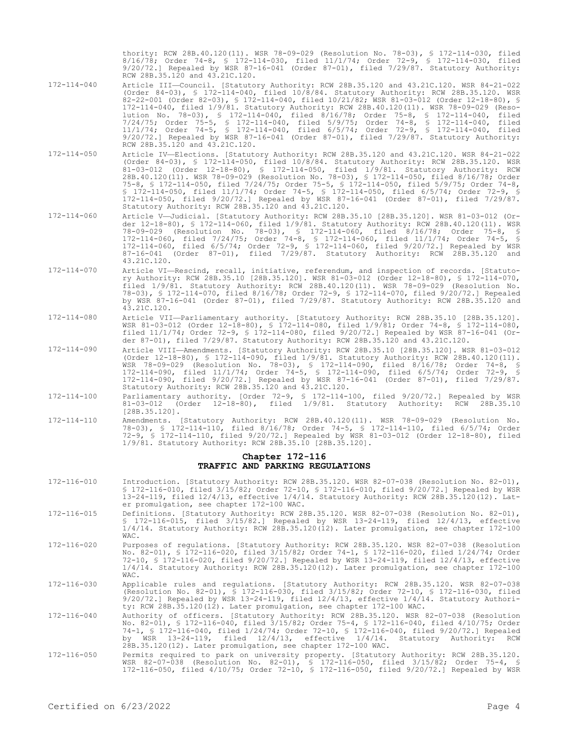thority: RCW 28B.40.120(11). WSR 78-09-029 (Resolution No. 78-03), § 172-114-030, filed 8/16/78; Order 74-8, § 172-114-030, filed 11/1/74; Order 72-9, § 172-114-030, filed 9/20/72.] Repealed by WSR 87-16-041 (Order 87-01), filed 7/29/87. Statutory Authority: RCW 28B.35.120 and 43.21C.120.

- 172-114-040 Article III—Council. [Statutory Authority: RCW 28B.35.120 and 43.21C.120. WSR 84-21-022 (Order 84-03), § 172-114-040, filed 10/8/84. Statutory Authority: RCW 28B.35.120. WSR 82-22-001 (Order 82-03), § 172-114-040, filed 10/21/82; WSR 81-03-012 (Order 12-18-80), § 172-114-040, filed 1/9/81. Statutory Authority: RCW 28B.40.120(11). WSR 78-09-029 (Resolution No. 78-03), § 172-114-040, filed 8/16/78; Order 75-8, § 172-114-040, filed 7/24/75; Order 75-5, § 172-114-040, filed 5/9/75; Order 74-8, § 172-114-040, filed 11/1/74; Order 74-5, § 172-114-040, filed 6/5/74; Order 72-9, § 172-114-040, filed 9/20/72.] Repealed by WSR 87-16-041 (Order 87-01), filed 7/29/87. Statutory Authority: RCW 28B.35.120 and 43.21C.120.
- 172-114-050 Article IV—Elections. [Statutory Authority: RCW 28B.35.120 and 43.21C.120. WSR 84-21-022 (Order 84-03), § 172-114-050, filed 10/8/84. Statutory Authority: RCW 28B.35.120. WSR 81-03-012 (Order 12-18-80), § 172-114-050, filed 1/9/81. Statutory Authority: RCW 28B.40.120(11). WSR 78-09-029 (Resolution No. 78-03), § 172-114-050, filed 8/16/78; Order 75-8, § 172-114-050, filed 7/24/75; Order 75-5, § 172-114-050, filed 5/9/75; Order 74-8, § 172-114-050, filed 11/1/74; Order 74-5, § 172-114-050, filed 6/5/74; Order 72-9, § 172-114-050, filed 9/20/72.] Repealed by WSR 87-16-041 (Order 87-01), filed 7/29/87. Statutory Authority: RCW 28B.35.120 and 43.21C.120.
- 172-114-060 Article V—Judicial. [Statutory Authority: RCW 28B.35.10 [28B.35.120]. WSR 81-03-012 (Order 12-18-80), § 172-114-060, filed 1/9/81. Statutory Authority: RCW 28B.40.120(11). WSR 78-09-029 (Resolution No. 78-03), § 172-114-060, filed 8/16/78; Order 75-8, § 172-114-060, filed 7/24/75; Order 74-8, § 172-114-060, filed 11/1/74; Order 74-5, § 172-114-060, filed 6/5/74; Order 72-9, § 172-114-060, filed 9/20/72.] Repealed by WSR 87-16-041 (Order 87-01), filed 7/29/87. Statutory Authority: RCW 28B.35.120 and 43.21C.120.
- 172-114-070 Article VI—Rescind, recall, initiative, referendum, and inspection of records. [Statutory Authority: RCW 28B.35.10 [28B.35.120]. WSR 81-03-012 (Order 12-18-80), § 172-114-070, filed 1/9/81. Statutory Authority: RCW 28B.40.120(11). WSR 78-09-029 (Resolution No. 78-03), § 172-114-070, filed 8/16/78; Order 72-9, § 172-114-070, filed 9/20/72.] Repealed by WSR 87-16-041 (Order 87-01), filed 7/29/87. Statutory Authority: RCW 28B.35.120 and 43.21C.120.
- 172-114-080 Article VII—Parliamentary authority. [Statutory Authority: RCW 28B.35.10 [28B.35.120]. WSR 81-03-012 (Order 12-18-80), § 172-114-080, filed 1/9/81; Order 74-8, § 172-114-080, filed 11/1/74; Order 72-9, § 172-114-080, filed 9/20/72.] Repealed by WSR 87-16-041 (Order 87-01), filed 7/29/87. Statutory Authority: RCW 28B.35.120 and 43.21C.120.
- 172-114-090 Article VIII—Amendments. [Statutory Authority: RCW 28B.35.10 [28B.35.120]. WSR 81-03-012 (Order 12-18-80), § 172-114-090, filed 1/9/81. Statutory Authority: RCW 28B.40.120(11). WSR 78-09-029 (Resolution No. 78-03), § 172-114-090, filed 8/16/78; Order 74-8, § 172-114-090, filed 11/1/74; Order 74-5, § 172-114-090, filed 6/5/74; Order 72-9, § 172-114-090, filed 9/20/72.] Repealed by WSR 87-16-041 (Order 87-01), filed 7/29/87. Statutory Authority: RCW 28B.35.120 and 43.21C.120.
- 172-114-100 Parliamentary authority. [Order 72-9, § 172-114-100, filed 9/20/72.] Repealed by WSR 81-03-012 (Order 12-18-80), filed 1/9/81. Statutory Authority: RCW 28B.35.10 [28B.35.120].
- 172-114-110 Amendments. [Statutory Authority: RCW 28B.40.120(11). WSR 78-09-029 (Resolution No. 78-03), § 172-114-110, filed 8/16/78; Order 74-5, § 172-114-110, filed 6/5/74; Order 72-9, § 172-114-110, filed 9/20/72.] Repealed by WSR 81-03-012 (Order 12-18-80), filed 1/9/81. Statutory Authority: RCW 28B.35.10 [28B.35.120].

## **Chapter 172-116 TRAFFIC AND PARKING REGULATIONS**

- 172-116-010 Introduction. [Statutory Authority: RCW 28B.35.120. WSR 82-07-038 (Resolution No. 82-01), § 172-116-010, filed 3/15/82; Order 72-10, § 172-116-010, filed 9/20/72.] Repealed by WSR 13-24-119, filed 12/4/13, effective 1/4/14. Statutory Authority: RCW 28B.35.120(12). Later promulgation, see chapter 172-100 WAC.
- 172-116-015 Definitions. [Statutory Authority: RCW 28B.35.120. WSR 82-07-038 (Resolution No. 82-01), § 172-116-015, filed 3/15/82.] Repealed by WSR 13-24-119, filed 12/4/13, effective 1/4/14. Statutory Authority: RCW 28B.35.120(12). Later promulgation, see chapter 172-100 WAC.
- 172-116-020 Purposes of regulations. [Statutory Authority: RCW 28B.35.120. WSR 82-07-038 (Resolution No. 82-01), § 172-116-020, filed 3/15/82; Order 74-1, § 172-116-020, filed 1/24/74; Order 72-10, § 172-116-020, filed 9/20/72.] Repealed by WSR 13-24-119, filed 12/4/13, effective 1/4/14. Statutory Authority: RCW 28B.35.120(12). Later promulgation, see chapter 172-100 WAC.
- 172-116-030 Applicable rules and regulations. [Statutory Authority: RCW 28B.35.120. WSR 82-07-038 (Resolution No. 82-01), § 172-116-030, filed 3/15/82; Order 72-10, § 172-116-030, filed 9/20/72.] Repealed by WSR 13-24-119, filed 12/4/13, effective 1/4/14. Statutory Authority: RCW 28B.35.120(12). Later promulgation, see chapter 172-100 WAC.
- 172-116-040 Authority of officers. [Statutory Authority: RCW 28B.35.120. WSR 82-07-038 (Resolution No. 82-01), § 172-116-040, filed 3/15/82; Order 75-4, § 172-116-040, filed 4/10/75; Order 74-1, § 172-116-040, filed 1/24/74; Order 72-10, § 172-116-040, filed 9/20/72.] Repealed by WSR 13-24-119, filed 12/4/13, effective 1/4/14. Statutory Authority: RCW 28B.35.120(12). Later promulgation, see chapter 172-100 WAC.
- 172-116-050 Permits required to park on university property. [Statutory Authority: RCW 28B.35.120. WSR 82-07-038 (Resolution No. 82-01), § 172-116-050, filed 3/15/82; Order 75-4, § 172-116-050, filed 4/10/75; Order 72-10, § 172-116-050, filed 9/20/72.] Repealed by WSR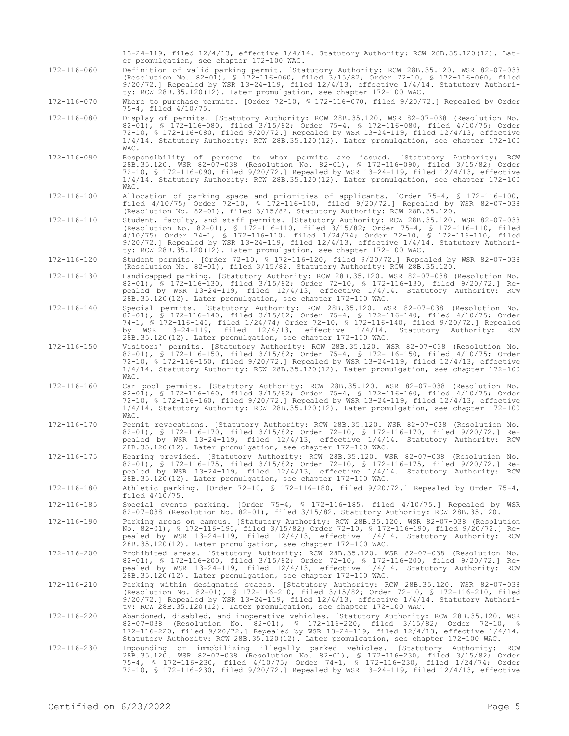|             | 13-24-119, filed $12/4/13$ , effective $1/4/14$ . Statutory Authority: RCW 28B.35.120(12). Lat-<br>er promulgation, see chapter 172-100 WAC.                                                                                                                                                                                                                                                                                                            |
|-------------|---------------------------------------------------------------------------------------------------------------------------------------------------------------------------------------------------------------------------------------------------------------------------------------------------------------------------------------------------------------------------------------------------------------------------------------------------------|
| 172-116-060 | Definition of valid parking permit. [Statutory Authority: RCW 28B.35.120. WSR 82-07-038<br>(Resolution No. 82-01), § 172-116-060, filed 3/15/82; Order 72-10, § 172-116-060, filed<br>$9/20/72$ .] Repealed by WSR 13-24-119, filed $12/4/13$ , effective $1/4/14$ . Statutory Authori-<br>ty: RCW 28B.35.120(12). Later promulgation, see chapter 172-100 WAC.                                                                                         |
| 172-116-070 | Where to purchase permits. [Order 72-10, § 172-116-070, filed $9/20/72$ .] Repealed by Order<br>75-4, filed 4/10/75.                                                                                                                                                                                                                                                                                                                                    |
| 172-116-080 | Display of permits. [Statutory Authority: RCW 28B.35.120. WSR 82-07-038 (Resolution No.<br>82-01), § 172-116-080, filed 3/15/82; Order 75-4, § 172-116-080, filed 4/10/75; Order<br>72-10, § 172-116-080, filed 9/20/72.] Repealed by WSR 13-24-119, filed 12/4/13, effective<br>1/4/14. Statutory Authority: RCW 28B.35.120(12). Later promulgation, see chapter 172-100<br>WAC.                                                                       |
| 172-116-090 | Responsibility of persons to whom permits are issued. [Statutory Authority: RCW<br>28B.35.120. WSR 82-07-038 (Resolution No. 82-01), § 172-116-090, filed 3/15/82; Order<br>72-10, § 172-116-090, filed 9/20/72.] Repealed by WSR 13-24-119, filed 12/4/13, effective<br>1/4/14. Statutory Authority: RCW 28B.35.120(12). Later promulgation, see chapter 172-100<br>WAC.                                                                               |
| 172-116-100 | Allocation of parking space and priorities of applicants. [Order 75-4, \$ 172-116-100,<br>filed 4/10/75; Order 72-10, § 172-116-100, filed 9/20/72.] Repealed by WSR 82-07-038<br>(Resolution No. 82-01), filed 3/15/82. Statutory Authority: RCW 28B.35.120.                                                                                                                                                                                           |
| 172-116-110 | Student, faculty, and staff permits. [Statutory Authority: RCW 28B.35.120. WSR 82-07-038<br>(Resolution No. 82-01), § 172-116-110, filed 3/15/82; Order 75-4, § 172-116-110, filed<br>$4/10/75$ ; Order 74-1, § 172-116-110, filed $1/24/74$ ; Order 72-10, § 172-116-110, filed<br>$9/20/72$ .] Repealed by WSR 13-24-119, filed 12/4/13, effective 1/4/14. Statutory Authori-<br>ty: RCW 28B.35.120(12). Later promulgation, see chapter 172-100 WAC. |
| 172-116-120 | Student permits. [Order 72-10, § 172-116-120, filed 9/20/72.] Repealed by WSR 82-07-038<br>(Resolution No. 82-01), filed 3/15/82. Statutory Authority: RCW 28B.35.120.                                                                                                                                                                                                                                                                                  |
| 172-116-130 | Handicapped parking. [Statutory Authority: RCW 28B.35.120. WSR 82-07-038 (Resolution No.<br>82-01), § 172-116-130, filed 3/15/82; Order 72-10, § 172-116-130, filed 9/20/72.] Re-<br>pealed by WSR 13-24-119, filed $12/4/13$ , effective $1/4/14$ . Statutory Authority: RCW<br>28B.35.120(12). Later promulgation, see chapter 172-100 WAC.                                                                                                           |
| 172-116-140 | Special permits. [Statutory Authority: RCW 28B.35.120. WSR 82-07-038 (Resolution No.<br>82-01), § 172-116-140, filed 3/15/82; Order 75-4, § 172-116-140, filed 4/10/75; Order<br>74-1, § 172-116-140, filed 1/24/74; Order 72-10, § 172-116-140, filed 9/20/72.] Repealed<br>by WSR $13-24-119$ , filed $12/4/13$ , effective $1/4/14$ . Statutory Authority:<br>RCW<br>28B.35.120(12). Later promulgation, see chapter 172-100 WAC.                    |
| 172-116-150 | Visitors' permits. [Statutory Authority: RCW 28B.35.120. WSR 82-07-038 (Resolution No.<br>82-01), § 172-116-150, filed 3/15/82; Order 75-4, § 172-116-150, filed 4/10/75; Order<br>72-10, § 172-116-150, filed 9/20/72.] Repealed by WSR 13-24-119, filed 12/4/13, effective<br>1/4/14. Statutory Authority: RCW 28B.35.120(12). Later promulgation, see chapter 172-100<br>WAC.                                                                        |
| 172-116-160 | Car pool permits. [Statutory Authority: RCW 28B.35.120. WSR 82-07-038 (Resolution No.<br>82-01), § 172-116-160, filed 3/15/82; Order 75-4, § 172-116-160, filed 4/10/75; Order<br>72-10, § 172-116-160, filed 9/20/72.] Repealed by WSR 13-24-119, filed 12/4/13, effective<br>1/4/14. Statutory Authority: RCW 28B.35.120(12). Later promulgation, see chapter 172-100<br>WAC.                                                                         |
| 172-116-170 | Permit revocations. [Statutory Authority: RCW 28B.35.120. WSR 82-07-038 (Resolution No.<br>82-01), § 172-116-170, filed 3/15/82; Order 72-10, § 172-116-170, filed 9/20/72.] Re-<br>pealed by WSR 13-24-119, filed 12/4/13, effective 1/4/14. Statutory Authority: RCW<br>28B.35.120(12). Later promulgation, see chapter 172-100 WAC.                                                                                                                  |
| 172-116-175 | Hearing provided. [Statutory Authority: RCW 28B.35.120. WSR 82-07-038 (Resolution No.<br>82-01), § 172-116-175, filed 3/15/82; Order 72-10, § 172-116-175, filed 9/20/72.] Re-<br>pealed by WSR 13-24-119, filed 12/4/13, effective 1/4/14. Statutory Authority: RCW<br>28B.35.120(12). Later promulgation, see chapter 172-100 WAC.                                                                                                                    |
| 172-116-180 | Athletic parking. [Order 72-10, \$ 172-116-180, filed 9/20/72.] Repealed by Order 75-4,<br>filed $4/10/75$ .                                                                                                                                                                                                                                                                                                                                            |
| 172-116-185 | Special events parking. [Order 75-4, § 172-116-185, filed 4/10/75.] Repealed by WSR<br>82-07-038 (Resolution No. 82-01), filed 3/15/82. Statutory Authority: RCW 28B.35.120.                                                                                                                                                                                                                                                                            |
| 172-116-190 | Parking areas on campus. [Statutory Authority: RCW 28B.35.120. WSR 82-07-038 (Resolution<br>No. 82-01), § 172-116-190, filed 3/15/82; Order 72-10, § 172-116-190, filed 9/20/72.] Re-<br>pealed by WSR 13-24-119, filed 12/4/13, effective 1/4/14. Statutory Authority: RCW<br>28B.35.120(12). Later promulgation, see chapter 172-100 WAC.                                                                                                             |
| 172-116-200 | Prohibited areas. [Statutory Authority: RCW 28B.35.120. WSR 82-07-038 (Resolution No.<br>82-01), § 172-116-200, filed 3/15/82; Order 72-10, § 172-116-200, filed 9/20/72.] Re-<br>pealed by WSR 13-24-119, filed 12/4/13, effective 1/4/14. Statutory Authority: RCW<br>28B.35.120(12). Later promulgation, see chapter 172-100 WAC.                                                                                                                    |
| 172-116-210 | Parking within designated spaces. [Statutory Authority: RCW 28B.35.120. WSR 82-07-038<br>(Resolution No. 82-01), § 172-116-210, filed 3/15/82; Order 72-10, § 172-116-210, filed<br>$9/20/72$ .] Repealed by WSR 13-24-119, filed 12/4/13, effective 1/4/14. Statutory Authori-<br>ty: RCW 28B.35.120(12). Later promulgation, see chapter 172-100 WAC.                                                                                                 |
| 172-116-220 | Abandoned, disabled, and inoperative vehicles. [Statutory Authority: RCW 28B.35.120. WSR<br>82-07-038 (Resolution No. 82-01), § 172-116-220, filed 3/15/82; Order 72-10, §<br>172-116-220, filed $9/20/72$ .] Repealed by WSR 13-24-119, filed $12/4/13$ , effective $1/4/14$ .<br>Statutory Authority: RCW 28B.35.120(12). Later promulgation, see chapter 172-100 WAC.                                                                                |
| 172-116-230 | Impounding or immobilizing illegally parked vehicles. [Statutory Authority: RCW<br>28B.35.120. WSR 82-07-038 (Resolution No. 82-01), § 172-116-230, filed 3/15/82; Order<br>75-4, § 172-116-230, filed 4/10/75; Order 74-1, § 172-116-230, filed 1/24/74; Order<br>72-10, \$ 172-116-230, filed 9/20/72.] Repealed by WSR 13-24-119, filed 12/4/13, effective                                                                                           |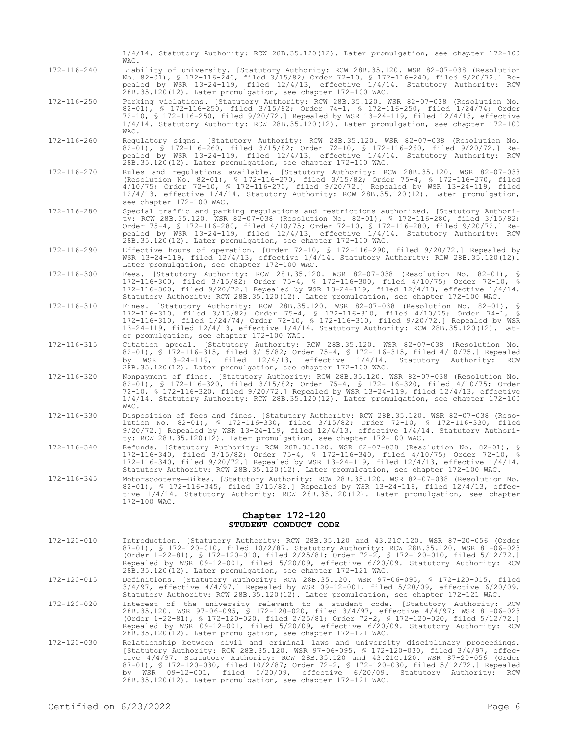| 172-116-240 | Liability of university. [Statutory Authority: RCW 28B.35.120. WSR 82-07-038 (Resolution<br>No. 82-01), § 172-116-240, filed 3/15/82; Order 72-10, § 172-116-240, filed 9/20/72.] Re-<br>pealed by WSR 13-24-119, filed 12/4/13, effective 1/4/14. Statutory Authority: RCW<br>28B.35.120(12). Later promulgation, see chapter 172-100 WAC.                                                                                               |
|-------------|-------------------------------------------------------------------------------------------------------------------------------------------------------------------------------------------------------------------------------------------------------------------------------------------------------------------------------------------------------------------------------------------------------------------------------------------|
| 172-116-250 | Parking violations. [Statutory Authority: RCW 28B.35.120. WSR 82-07-038 (Resolution No.<br>82-01), § 172-116-250, filed 3/15/82; Order 74-1, § 172-116-250, filed 1/24/74; Order<br>72-10, § 172-116-250, filed $9/20/72$ .] Repealed by WSR 13-24-119, filed 12/4/13, effective<br>1/4/14. Statutory Authority: RCW 28B.35.120(12). Later promulgation, see chapter 172-100<br>WAC.                                                      |
| 172-116-260 | Requlatory signs. [Statutory Authority: RCW 28B.35.120. WSR 82-07-038 (Resolution No.<br>82-01), § 172-116-260, filed 3/15/82; Order 72-10, § 172-116-260, filed 9/20/72.] Re-<br>pealed by WSR 13-24-119, filed 12/4/13, effective 1/4/14. Statutory Authority: RCW<br>28B.35.120(12). Later promulgation, see chapter 172-100 WAC.                                                                                                      |
| 172-116-270 | Rules and regulations available. [Statutory Authority: RCW 28B.35.120. WSR 82-07-038<br>(Resolution No. 82-01), § 172-116-270, filed 3/15/82; Order 75-4, § 172-116-270, filed<br>4/10/75; Order 72-10, § 172-116-270, filed 9/20/72.] Repealed by WSR 13-24-119, filed<br>12/4/13, effective 1/4/14. Statutory Authority: RCW 28B.35.120(12). Later promulgation,<br>see chapter 172-100 WAC.                                            |
| 172-116-280 | Special traffic and parking regulations and restrictions authorized. [Statutory Authori-<br>ty: RCW 28B.35.120. WSR 82-07-038 (Resolution No. 82-01), § 172-116-280, filed 3/15/82;<br>Order 75-4, § 172-116-280, filed 4/10/75; Order 72-10, § 172-116-280, filed 9/20/72.] Re-<br>pealed by WSR 13-24-119, filed 12/4/13, effective 1/4/14. Statutory Authority: RCW<br>28B.35.120(12). Later promulgation, see chapter 172-100 WAC.    |
| 172-116-290 | Effective hours of operation. [Order 72-10, § 172-116-290, filed 9/20/72.] Repealed by<br>WSR $13-24-119$ , filed $12/4/13$ , effective $1/4/14$ . Statutory Authority: RCW 28B.35.120(12).<br>Later promulgation, see chapter 172-100 WAC.                                                                                                                                                                                               |
| 172-116-300 | Fees. [Statutory Authority: RCW 28B.35.120. WSR 82-07-038 (Resolution No. 82-01), §<br>172-116-300, filed 3/15/82; Order 75-4, § 172-116-300, filed 4/10/75; Order 72-10, §<br>172-116-300, filed 9/20/72.] Repealed by WSR 13-24-119, filed 12/4/13, effective 1/4/14.<br>Statutory Authority: RCW 28B.35.120(12). Later promulgation, see chapter 172-100 WAC.                                                                          |
| 172-116-310 | Fines. [Statutory Authority: RCW 28B.35.120. WSR 82-07-038 (Resolution No. 82-01), §<br>172-116-310, filed 3/15/82; Order 75-4, § 172-116-310, filed 4/10/75; Order 74-1, §<br>172-116-310, filed 1/24/74; Order 72-10, § 172-116-310, filed 9/20/72.] Repealed by WSR<br>13-24-119, filed 12/4/13, effective 1/4/14. Statutory Authority: RCW 28B.35.120(12). Lat-<br>er promulgation, see chapter 172-100 WAC.                          |
| 172-116-315 | Citation appeal. [Statutory Authority: RCW 28B.35.120. WSR 82-07-038 (Resolution No.<br>82-01), § 172-116-315, filed 3/15/82; Order 75-4, § 172-116-315, filed 4/10/75.] Repealed<br>WSR 13-24-119, filed 12/4/13,<br>effective 1/4/14. Statutory Authority:<br>RCW<br>bv.<br>28B.35.120(12). Later promulgation, see chapter 172-100 WAC.                                                                                                |
| 172-116-320 | Nonpayment of fines. [Statutory Authority: RCW 28B.35.120. WSR 82-07-038 (Resolution No.<br>82-01), § 172-116-320, filed 3/15/82; Order 75-4, § 172-116-320, filed 4/10/75; Order<br>72-10, § 172-116-320, filed 9/20/72.] Repealed by WSR 13-24-119, filed 12/4/13, effective<br>$1/4/14$ . Statutory Authority: RCW 28B.35.120(12). Later promulgation, see chapter 172-100<br>WAC.                                                     |
| 172-116-330 | Disposition of fees and fines. [Statutory Authority: RCW 28B.35.120. WSR 82-07-038 (Reso-<br>lution No. 82-01), § 172-116-330, filed 3/15/82; Order 72-10, § 172-116-330, filed<br>$9/20/72$ .] Repealed by WSR 13-24-119, filed $12/4/13$ , effective $1/4/14$ . Statutory Authori-<br>ty: RCW 28B.35.120(12). Later promulgation, see chapter 172-100 WAC.                                                                              |
| 172-116-340 | Refunds. [Statutory Authority: RCW 28B.35.120. WSR 82-07-038 (Resolution No. 82-01), §<br>172-116-340, filed 3/15/82; Order 75-4, § 172-116-340, filed 4/10/75; Order 72-10, §<br>172-116-340, filed 9/20/72.] Repealed by WSR 13-24-119, filed 12/4/13, effective 1/4/14.<br>Statutory Authority: RCW 28B.35.120(12). Later promulgation, see chapter 172-100 WAC.                                                                       |
| 172-116-345 | Motorscooters-Bikes. [Statutory Authority: RCW 28B.35.120. WSR 82-07-038 (Resolution No.<br>82-01), § 172-116-345, filed 3/15/82.] Repealed by WSR 13-24-119, filed 12/4/13, effec-<br>tive 1/4/14. Statutory Authority: RCW 28B.35.120(12). Later promulgation, see chapter<br>172-100 WAC.                                                                                                                                              |
|             | Chapter 172-120<br>STUDENT CONDUCT CODE                                                                                                                                                                                                                                                                                                                                                                                                   |
| 172-120-010 | Introduction. [Statutory Authority: RCW 28B.35.120 and 43.21C.120. WSR 87-20-056 (Order<br>87-01), § 172-120-010, filed 10/2/87. Statutory Authority: RCW 28B.35.120. WSR 81-06-023<br>(Order 1-22-81), § 172-120-010, filed 2/25/81; Order 72-2, § 172-120-010, filed 5/12/72.]<br>Repealed by WSR 09-12-001, filed 5/20/09, effective 6/20/09. Statutory Authority: RCW<br>28B.35.120(12). Later promulgation, see chapter 172-121 WAC. |
| 172-120-015 | Definitions. [Statutory Authority: RCW 28B.35.120. WSR 97-06-095, \$ 172-120-015, filed<br>3/4/97, effective 4/4/97.] Repealed by WSR 09-12-001, filed 5/20/09, effective 6/20/09.<br>Statutory Authority: RCW 28B.35.120(12). Later promulgation, see chapter 172-121 WAC.                                                                                                                                                               |

1/4/14. Statutory Authority: RCW 28B.35.120(12). Later promulgation, see chapter 172-100

- 172-120-020 Interest of the university relevant to a student code. [Statutory Authority: RCW 28B.35.120. WSR 97-06-095, § 172-120-020, filed 3/4/97, effective 4/4/97; WSR 81-06-023<br>(Order 1-22-81), § 172-120-020, filed 2/25/81; Order 72-2, § 172-120-020, filed 5/12/72.]<br>Repealed by WSR 09-12-001, filed 5/20/09, ef 28B.35.120(12). Later promulgation, see chapter 172-121 WAC.
- 172-120-030 Relationship between civil and criminal laws and university disciplinary proceedings. [Statutory Authority: RCW 28B.35.120. WSR 97-06-095, § 172-120-030, filed 3/4/97, effective 4/4/97. Statutory Authority: RCW 28B.35.120 and 43.21C.120. WSR 87-20-056 (Order 87-01), § 172-120-030, filed 10/2/87; Order 72-2, § 172-120-030, filed 5/12/72.] Repealed by WSR 09-12-001, filed 5/20/09, effective 6/20/09. Statutory Authority: RCW 28B.35.120(12). Later promulgation, see chapter 172-121 WAC.

WAC.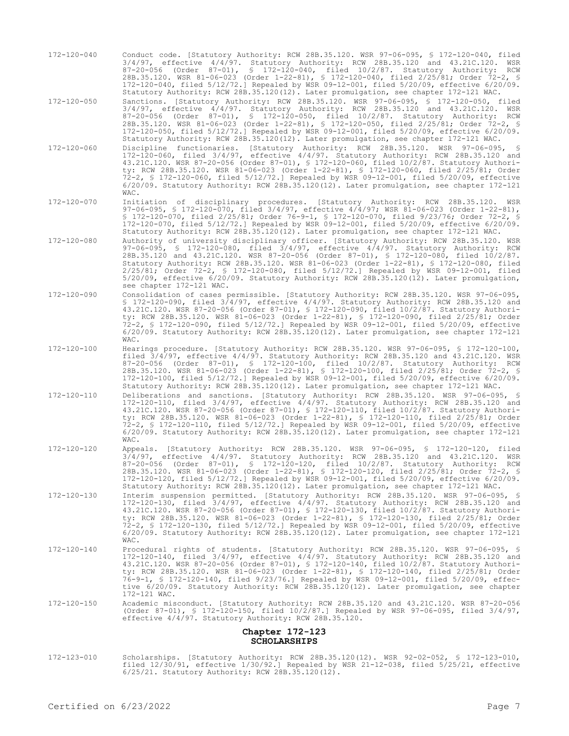- 172-120-040 Conduct code. [Statutory Authority: RCW 28B.35.120. WSR 97-06-095, § 172-120-040, filed 3/4/97, effective 4/4/97. Statutory Authority: RCW 28B.35.120 and 43.21C.120. WSR 87-20-056 (Order 87-01), § 172-120-040, filed 10/2/87. Statutory Authority: RCW 28B.35.120. WSR 81-06-023 (Order 1-22-81), § 172-120-040, filed 2/25/81; Order 72-2, § 172-120-040, filed 5/12/72.] Repealed by WSR 09-12-001, filed 5/20/09, effective 6/20/09. Statutory Authority: RCW 28B.35.120(12). Later promulgation, see chapter 172-121 WAC.
- 172-120-050 Sanctions. [Statutory Authority: RCW 28B.35.120. WSR 97-06-095, § 172-120-050, filed 3/4/97, effective 4/4/97. Statutory Authority: RCW 28B.35.120 and 43.21C.120. WSR 87-20-056 (Order 87-01), § 172-120-050, filed 10/2/87. Statutory Authority: RCW 28B.35.120. WSR 81-06-023 (Order 1-22-81), § 172-120-050, filed 2/25/81; Order 72-2, § 172-120-050, filed 5/12/72.] Repealed by WSR 09-12-001, filed 5/20/09, effective 6/20/09. Statutory Authority: RCW 28B.35.120(12). Later promulgation, see chapter 172-121 WAC.
- 172-120-060 Discipline functionaries. [Statutory Authority: RCW 28B.35.120. WSR 97-06-095, § 172-120-060, filed 3/4/97, effective 4/4/97. Statutory Authority: RCW 28B.35.120 and 43.21C.120. WSR 87-20-056 (Order 87-01), § 172-120-060, filed 10/2/87. Statutory Authority: RCW 28B.35.120. WSR 81-06-023 (Order 1-22-81), § 172-120-060, filed 2/25/81; Order 72-2, § 172-120-060, filed 5/12/72.] Repealed by WSR 09-12-001, filed 5/20/09, effective 6/20/09. Statutory Authority: RCW 28B.35.120(12). Later promulgation, see chapter 172-121 WAC.
- 172-120-070 Initiation of disciplinary procedures. [Statutory Authority: RCW 28B.35.120. WSR 97-06-095, § 172-120-070, filed 3/4/97, effective 4/4/97; WSR 81-06-023 (Order 1-22-81), § 172-120-070, filed 2/25/81; Order 76-9-1, § 172-120-070, filed 9/23/76; Order 72-2, § 172-120-070, filed 5/12/72.] Repealed by WSR 09-12-001, filed 5/20/09, effective 6/20/09. Statutory Authority: RCW 28B.35.120(12). Later promulgation, see chapter 172-121 WAC.
- 172-120-080 Authority of university disciplinary officer. [Statutory Authority: RCW 28B.35.120. WSR 97-06-095, § 172-120-080, filed 3/4/97, effective 4/4/97. Statutory Authority: RCW 28B.35.120 and 43.21C.120. WSR 87-20-056 (Order 87-01), § 172-120-080, filed 10/2/87. Statutory Authority: RCW 28B.35.120. WSR 81-06-023 (Order 1-22-81), § 172-120-080, filed 2/25/81; Order 72-2, § 172-120-080, filed 5/12/72.] Repealed by WSR 09-12-001, filed 5/20/09, effective 6/20/09. Statutory Authority: RCW 28B.35.120(12). Later promulgation, see chapter 172-121 WAC.
- 172-120-090 Consolidation of cases permissible. [Statutory Authority: RCW 28B.35.120. WSR 97-06-095, § 172-120-090, filed 3/4/97, effective 4/4/97. Statutory Authority: RCW 28B.35.120 and 43.21C.120. WSR 87-20-056 (Order 87-01), § 172-120-090, filed 10/2/87. Statutory Authority: RCW 28B.35.120. WSR 81-06-023 (Order 1-22-81), § 172-120-090, filed 2/25/81; Order 72-2, § 172-120-090, filed 5/12/72.] Repealed by WSR 09-12-001, filed 5/20/09, effective 6/20/09. Statutory Authority: RCW 28B.35.120(12). Later promulgation, see chapter 172-121 WAC.
- 172-120-100 Hearings procedure. [Statutory Authority: RCW 28B.35.120. WSR 97-06-095, § 172-120-100, filed 3/4/97, effective 4/4/97. Statutory Authority: RCW 28B.35.120 and 43.21C.120. WSR 87-20-056 (Order 87-01), § 172-120-100, filed 10/2/87. Statutory Authority: RCW 28B.35.120. WSR 81-06-023 (Order 1-22-81), § 172-120-100, filed 2/25/81; Order 72-2, § 172-120-100, filed 5/12/72.] Repealed by WSR 09-12-001, filed 5/20/09, effective 6/20/09. Statutory Authority: RCW 28B.35.120(12). Later promulgation, see chapter 172-121 WAC.
- 172-120-110 Deliberations and sanctions. [Statutory Authority: RCW 28B.35.120. WSR 97-06-095, § 172-120-110, filed 3/4/97, effective 4/4/97. Statutory Authority: RCW 28B.35.120 and 43.21C.120. WSR 87-20-056 (Order 87-01), § 172-120-110, filed 10/2/87. Statutory Authority: RCW 28B.35.120. WSR 81-06-023 (Order 1-22-81), § 172-120-110, filed 2/25/81; Order 72-2, § 172-120-110, filed 5/12/72.] Repealed by WSR 09-12-001, filed 5/20/09, effective 6/20/09. Statutory Authority: RCW 28B.35.120(12). Later promulgation, see chapter 172-121 WAC.
- 172-120-120 Appeals. [Statutory Authority: RCW 28B.35.120. WSR 97-06-095, § 172-120-120, filed 3/4/97, effective 4/4/97. Statutory Authority: RCW 28B.35.120 and 43.21C.120. WSR 87-20-056 (Order 87-01), § 172-120-120, filed 10/2/87. Statutory Authority: RCW 28B.35.120. WSR 81-06-023 (Order 1-22-81), § 172-120-120, filed 2/25/81; Order 72-2, § 172-120-120, filed 5/12/72.] Repealed by WSR 09-12-001, filed 5/20/09, effective 6/20/09. Statutory Authority: RCW 28B.35.120(12). Later promulgation, see chapter 172-121 WAC.
- 172-120-130 Interim suspension permitted. [Statutory Authority: RCW 28B.35.120. WSR 97-06-095, § 172-120-130, filed 3/4/97, effective 4/4/97. Statutory Authority: RCW 28B.35.120 and 43.21C.120. WSR 87-20-056 (Order 87-01), § 172-120-130, filed 10/2/87. Statutory Authority: RCW 28B.35.120. WSR 81-06-023 (Order 1-22-81), § 172-120-130, filed 2/25/81; Order 72-2, § 172-120-130, filed 5/12/72.] Repealed by WSR 09-12-001, filed 5/20/09, effective 6/20/09. Statutory Authority: RCW 28B.35.120(12). Later promulgation, see chapter 172-121 WAC.
- 172-120-140 Procedural rights of students. [Statutory Authority: RCW 28B.35.120. WSR 97-06-095, § 172-120-140, filed 3/4/97, effective 4/4/97. Statutory Authority: RCW 28B.35.120 and 43.21C.120. WSR 87-20-056 (Order 87-01), § 172-120-140, filed 10/2/87. Statutory Authority: RCW 28B.35.120. WSR 81-06-023 (Order 1-22-81), § 172-120-140, filed 2/25/81; Order 76-9-1, § 172-120-140, filed 9/23/76.] Repealed by WSR 09-12-001, filed 5/20/09, effective 6/20/09. Statutory Authority: RCW 28B.35.120(12). Later promulgation, see chapter 172-121 WAC.
- 172-120-150 Academic misconduct. [Statutory Authority: RCW 28B.35.120 and 43.21C.120. WSR 87-20-056 (Order 87-01), § 172-120-150, filed 10/2/87.] Repealed by WSR 97-06-095, filed 3/4/97, effective 4/4/97. Statutory Authority: RCW 28B.35.120.

### **Chapter 172-123 SCHOLARSHIPS**

172-123-010 Scholarships. [Statutory Authority: RCW 28B.35.120(12). WSR 92-02-052, § 172-123-010, filed 12/30/91, effective 1/30/92.] Repealed by WSR 21-12-038, filed 5/25/21, effective 6/25/21. Statutory Authority: RCW 28B.35.120(12).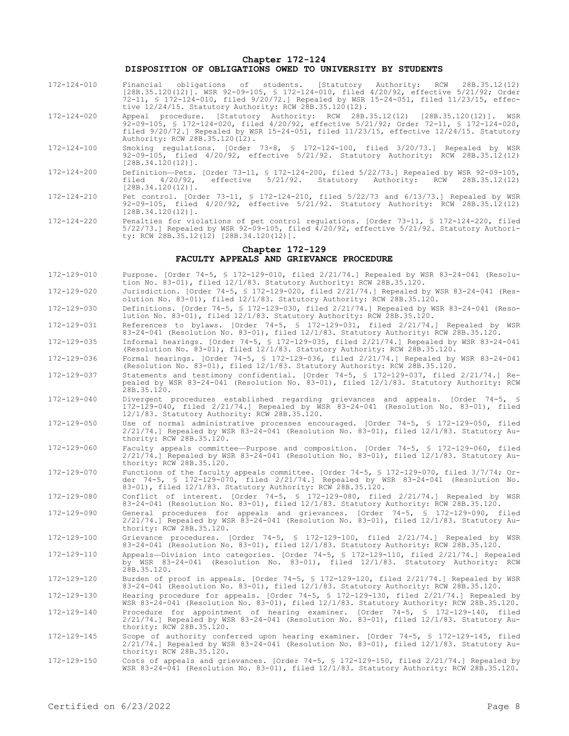**Chapter 172-124**

### **DISPOSITION OF OBLIGATIONS OWED TO UNIVERSITY BY STUDENTS**

- 172-124-010 Financial obligations of students. [Statutory Authority: RCW 28B.35.12(12) [28B.35.120(12)]. WSR 92-09-105, § 172-124-010, filed 4/20/92, effective 5/21/92; Order 72-11, § 172-124-010, filed 9/20/72.] Repealed by WSR 15-24-051, filed 11/23/15, effective 12/24/15. Statutory Authority: RCW 28B.35.120(12).
- 172-124-020 Appeal procedure. [Statutory Authority: RCW 28B.35.12(12) [28B.35.120(12)]. WSR 92-09-105, § 172-124-020, filed 4/20/92, effective 5/21/92; Order 72-11, § 172-124-020, filed 9/20/72.] Repealed by WSR 15-24-051, filed 11/23/15, effective 12/24/15. Statutory Authority: RCW 28B.35.120(12).
- 172-124-100 Smoking regulations. [Order 73-8, § 172-124-100, filed 3/20/73.] Repealed by WSR 92-09-105, filed 4/20/92, effective 5/21/92. Statutory Authority: RCW 28B.35.12(12)  $[28B.34.120(12)]$ .
- 172-124-200 Definition—Pets. [Order 73-11, § 172-124-200, filed 5/22/73.] Repealed by WSR 92-09-105, filed 4/20/92, effective 5/21/92. Statutory Authority: RCW 28B.35.12(12) [28B.34.120(12)].
- 172-124-210 Pet control. [Order 73-11, § 172-124-210, filed 5/22/73 and 6/13/73.] Repealed by WSR 92-09-105, filed 4/20/92, effective 5/21/92. Statutory Authority: RCW 28B.35.12(12) [28B.34.120(12)].
- 172-124-220 Penalties for violations of pet control regulations. [Order 73-11, § 172-124-220, filed 5/22/73.] Repealed by WSR 92-09-105, filed 4/20/92, effective 5/21/92. Statutory Authority: RCW 28B.35.12(12) [28B.34.120(12)].

# **Chapter 172-129 FACULTY APPEALS AND GRIEVANCE PROCEDURE**

- 172-129-010 Purpose. [Order 74-5, § 172-129-010, filed 2/21/74.] Repealed by WSR 83-24-041 (Resolution No. 83-01), filed 12/1/83. Statutory Authority: RCW 28B.35.120.
- 172-129-020 Jurisdiction. [Order 74-5, § 172-129-020, filed 2/21/74.] Repealed by WSR 83-24-041 (Resolution No. 83-01), filed 12/1/83. Statutory Authority: RCW 28B.35.120.
- 172-129-030 Definitions. [Order 74-5, § 172-129-030, filed 2/21/74.] Repealed by WSR 83-24-041 (Resolution No. 83-01), filed 12/1/83. Statutory Authority: RCW 28B.35.120.
- 172-129-031 References to bylaws. [Order 74-5, § 172-129-031, filed 2/21/74.] Repealed by WSR 83-24-041 (Resolution No. 83-01), filed 12/1/83. Statutory Authority: RCW 28B.35.120.
- 172-129-035 Informal hearings. [Order 74-5, § 172-129-035, filed 2/21/74.] Repealed by WSR 83-24-041 (Resolution No. 83-01), filed 12/1/83. Statutory Authority: RCW 28B.35.120.
- 172-129-036 Formal hearings. [Order 74-5, § 172-129-036, filed 2/21/74.] Repealed by WSR 83-24-041 (Resolution No. 83-01), filed 12/1/83. Statutory Authority: RCW 28B.35.120.
- 172-129-037 Statements and testimony confidential. [Order 74-5, § 172-129-037, filed 2/21/74.] Repealed by WSR 83-24-041 (Resolution No. 83-01), filed 12/1/83. Statutory Authority: RCW 28B.35.120.
- 172-129-040 Divergent procedures established regarding grievances and appeals. [Order 74-5, § 172-129-040, filed 2/21/74.] Repealed by WSR 83-24-041 (Resolution No. 83-01), filed 12/1/83. Statutory Authority: RCW 28B.35.120.
- 172-129-050 Use of normal administrative processes encouraged. [Order 74-5, § 172-129-050, filed 2/21/74.] Repealed by WSR 83-24-041 (Resolution No. 83-01), filed 12/1/83. Statutory Authority: RCW 28B.35.120.
- 172-129-060 Faculty appeals committee—Purpose and composition. [Order 74-5, § 172-129-060, filed 2/21/74.] Repealed by WSR 83-24-041 (Resolution No. 83-01), filed 12/1/83. Statutory Authority: RCW 28B.35.120.
- 172-129-070 Functions of the faculty appeals committee. [Order 74-5, § 172-129-070, filed 3/7/74; Order 74-5, § 172-129-070, filed 2/21/74.] Repealed by WSR 83-24-041 (Resolution No. 83-01), filed 12/1/83. Statutory Authority: RCW 28B.35.120.
- 172-129-080 Conflict of interest. [Order 74-5, § 172-129-080, filed 2/21/74.] Repealed by WSR 83-24-041 (Resolution No. 83-01), filed 12/1/83. Statutory Authority: RCW 28B.35.120.
- 172-129-090 General procedures for appeals and grievances. [Order 74-5, § 172-129-090, filed 2/21/74.] Repealed by WSR 83-24-041 (Resolution No. 83-01), filed 12/1/83. Statutory Authority: RCW 28B.35.120.
- 172-129-100 Grievance procedures. [Order 74-5, § 172-129-100, filed 2/21/74.] Repealed by WSR 83-24-041 (Resolution No. 83-01), filed 12/1/83. Statutory Authority: RCW 28B.35.120.
- 172-129-110 Appeals—Division into categories. [Order 74-5, § 172-129-110, filed 2/21/74.] Repealed by WSR 83-24-041 (Resolution No. 83-01), filed 12/1/83. Statutory Authority: RCW 28B.35.120.
- 172-129-120 Burden of proof in appeals. [Order 74-5, § 172-129-120, filed 2/21/74.] Repealed by WSR 83-24-041 (Resolution No. 83-01), filed 12/1/83. Statutory Authority: RCW 28B.35.120.
- 172-129-130 Hearing procedure for appeals. [Order 74-5, § 172-129-130, filed 2/21/74.] Repealed by WSR 83-24-041 (Resolution No. 83-01), filed 12/1/83. Statutory Authority: RCW 28B.35.120. 172-129-140 Procedure for appointment of hearing examiner. [Order 74-5, § 172-129-140, filed 2/21/74.] Repealed by WSR 83-24-041 (Resolution No. 83-01), filed 12/1/83. Statutory Authority: RCW 28B.35.120.
- 172-129-145 Scope of authority conferred upon hearing examiner. [Order 74-5, § 172-129-145, filed 2/21/74.] Repealed by WSR 83-24-041 (Resolution No. 83-01), filed 12/1/83. Statutory Authority: RCW 28B.35.120.
- 172-129-150 Costs of appeals and grievances. [Order 74-5, § 172-129-150, filed 2/21/74.] Repealed by WSR 83-24-041 (Resolution No. 83-01), filed 12/1/83. Statutory Authority: RCW 28B.35.120.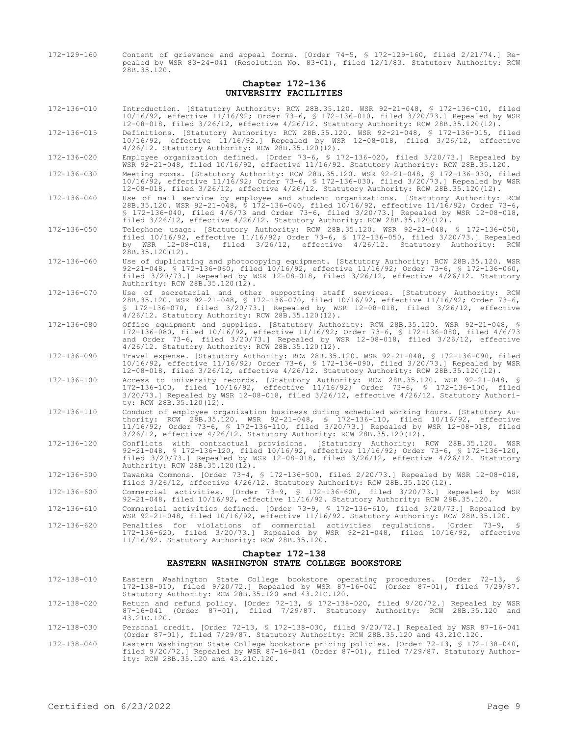172-129-160 Content of grievance and appeal forms. [Order 74-5, § 172-129-160, filed 2/21/74.] Repealed by WSR 83-24-041 (Resolution No. 83-01), filed 12/1/83. Statutory Authority: RCW 28B.35.120.

## **Chapter 172-136 UNIVERSITY FACILITIES**

| 172-136-010 | Introduction. [Statutory Authority: RCW 28B.35.120. WSR 92-21-048, § 172-136-010, filed<br>10/16/92, effective 11/16/92; Order 73-6, § 172-136-010, filed 3/20/73.] Repealed by WSR<br>12-08-018, filed 3/26/12, effective 4/26/12. Statutory Authority: RCW 28B.35.120(12).                                                                                          |
|-------------|-----------------------------------------------------------------------------------------------------------------------------------------------------------------------------------------------------------------------------------------------------------------------------------------------------------------------------------------------------------------------|
| 172-136-015 | Definitions. [Statutory Authority: RCW 28B.35.120. WSR 92-21-048, § 172-136-015, filed<br>10/16/92, effective 11/16/92.] Repealed by WSR 12-08-018, filed 3/26/12, effective<br>$4/26/12$ . Statutory Authority: RCW 28B.35.120(12).                                                                                                                                  |
| 172-136-020 | Employee organization defined. [Order 73-6, § 172-136-020, filed 3/20/73.] Repealed by<br>WSR $92-21-048$ , filed $10/16/92$ , effective $11/16/92$ . Statutory Authority: RCW 28B.35.120.                                                                                                                                                                            |
| 172-136-030 | Meeting rooms. [Statutory Authority: RCW 28B.35.120. WSR 92-21-048, § 172-136-030, filed<br>10/16/92, effective 11/16/92; Order 73-6, § 172-136-030, filed 3/20/73.] Repealed by WSR<br>12-08-018, filed 3/26/12, effective 4/26/12. Statutory Authority: RCW 28B.35.120(12).                                                                                         |
| 172-136-040 | Use of mail service by employee and student organizations. [Statutory Authority: RCW<br>28B.35.120. WSR 92-21-048, § 172-136-040, filed 10/16/92, effective 11/16/92; Order 73-6,<br>$$172-136-040$ , filed $4/6/73$ and Order 73-6, filed $3/20/73$ . Repealed by WSR 12-08-018,<br>filed $3/26/12$ , effective $4/26/12$ . Statutory Authority: RCW 28B.35.120(12). |
| 172-136-050 | Telephone usage. [Statutory Authority: RCW 28B.35.120. WSR 92-21-048, \$ 172-136-050,<br>filed $10/16/92$ , effective $11/16/92$ ; Order 73-6, § 172-136-050, filed 3/20/73.] Repealed<br>by WSR 12-08-018, filed 3/26/12, effective 4/26/12. Statutory Authority: RCW<br>$28B.35.120(12)$ .                                                                          |
| 172-136-060 | Use of duplicating and photocopying equipment. [Statutory Authority: RCW 28B.35.120. WSR<br>92-21-048, § 172-136-060, filed 10/16/92, effective 11/16/92; Order 73-6, § 172-136-060,<br>filed $3/20/73$ .] Repealed by WSR 12-08-018, filed $3/26/12$ , effective $4/26/12$ . Statutory<br>Authority: RCW 28B.35.120(12).                                             |
| 172-136-070 | Use of secretarial and other supporting staff services. [Statutory Authority: RCW<br>28B.35.120. WSR 92-21-048, § 172-136-070, filed 10/16/92, effective 11/16/92; Order 73-6,<br>$$172-136-070$ , filed $3/20/73$ . Repealed by WSR 12-08-018, filed $3/26/12$ , effective<br>$4/26/12$ . Statutory Authority: RCW 28B.35.120(12).                                   |
| 172-136-080 | Office equipment and supplies. [Statutory Authority: RCW 28B.35.120. WSR 92-21-048, §<br>172-136-080, filed 10/16/92, effective 11/16/92; Order 73-6, § 172-136-080, filed 4/6/73<br>and Order 73-6, filed $3/20/73$ .] Repealed by WSR 12-08-018, filed $3/26/12$ , effective<br>$4/26/12$ . Statutory Authority: RCW 28B.35.120(12).                                |
| 172-136-090 | Travel expense. [Statutory Authority: RCW 28B.35.120. WSR 92-21-048, § 172-136-090, filed<br>10/16/92, effective 11/16/92; Order 73-6, § 172-136-090, filed 3/20/73.] Repealed by WSR<br>12-08-018, filed 3/26/12, effective 4/26/12. Statutory Authority: RCW 28B.35.120(12).                                                                                        |
| 172-136-100 | Access to university records. [Statutory Authority: RCW 28B.35.120. WSR 92-21-048, §<br>172-136-100, filed 10/16/92, effective 11/16/92; Order 73-6, § 172-136-100, filed<br>$3/20/73$ .] Repealed by WSR 12-08-018, filed $3/26/12$ , effective $4/26/12$ . Statutory Authori-<br>ty: RCW 28B.35.120(12).                                                            |
| 172-136-110 | Conduct of employee organization business during scheduled working hours. [Statutory Au-<br>thority: RCW 28B.35.120. WSR 92-21-048, § 172-136-110, filed 10/16/92, effective<br>11/16/92; Order 73-6, § 172-136-110, filed 3/20/73.] Repealed by WSR 12-08-018, filed<br>$3/26/12$ , effective $4/26/12$ . Statutory Authority: RCW 28B.35.120(12).                   |
| 172-136-120 | Conflicts with contractual provisions. [Statutory Authority: RCW 28B.35.120. WSR<br>92-21-048, § 172-136-120, filed 10/16/92, effective 11/16/92; Order 73-6, § 172-136-120,<br>filed 3/20/73.] Repealed by WSR 12-08-018, filed 3/26/12, effective 4/26/12. Statutory<br>Authority: RCW 28B.35.120(12).                                                              |
| 172-136-500 | Tawanka Commons. [Order 73-4, § 172-136-500, filed 2/20/73.] Repealed by WSR 12-08-018,<br>filed $3/26/12$ , effective $4/26/12$ . Statutory Authority: RCW 28B.35.120(12).                                                                                                                                                                                           |
| 172-136-600 | Commercial activities. [Order 73-9, § 172-136-600, filed 3/20/73.] Repealed by WSR<br>92-21-048, filed 10/16/92, effective 11/16/92. Statutory Authority: RCW 28B.35.120.                                                                                                                                                                                             |
| 172-136-610 | Commercial activities defined. [Order 73-9, § 172-136-610, filed 3/20/73.] Repealed by<br>WSR 92-21-048, filed 10/16/92, effective 11/16/92. Statutory Authority: RCW 28B.35.120.                                                                                                                                                                                     |
| 172-136-620 | Penalties for violations of commercial activities regulations. [Order 73-9, §<br>172-136-620, filed 3/20/73.] Repealed by WSR 92-21-048, filed 10/16/92, effective<br>11/16/92. Statutory Authority: RCW 28B.35.120.                                                                                                                                                  |
|             | Chapter 172-138<br>EASTERN WASHINGTON STATE COLLEGE BOOKSTORE                                                                                                                                                                                                                                                                                                         |
|             |                                                                                                                                                                                                                                                                                                                                                                       |

- 172-138-010 Eastern Washington State College bookstore operating procedures. [Order 72-13, § 172-138-010, filed 9/20/72.] Repealed by WSR 87-16-041 (Order 87-01), filed 7/29/87. Statutory Authority: RCW 28B.35.120 and 43.21C.120.
- 172-138-020 Return and refund policy. [Order 72-13, § 172-138-020, filed 9/20/72.] Repealed by WSR 87-16-041 (Order 87-01), filed 7/29/87. Statutory Authority: RCW 28B.35.120 and 43.21C.120.
- 172-138-030 Personal credit. [Order 72-13, § 172-138-030, filed 9/20/72.] Repealed by WSR 87-16-041 (Order 87-01), filed 7/29/87. Statutory Authority: RCW 28B.35.120 and 43.21C.120.
- 172-138-040 Eastern Washington State College bookstore pricing policies. [Order 72-13, § 172-138-040, filed 9/20/72.] Repealed by WSR 87-16-041 (Order 87-01), filed 7/29/87. Statutory Authority: RCW 28B.35.120 and 43.21C.120.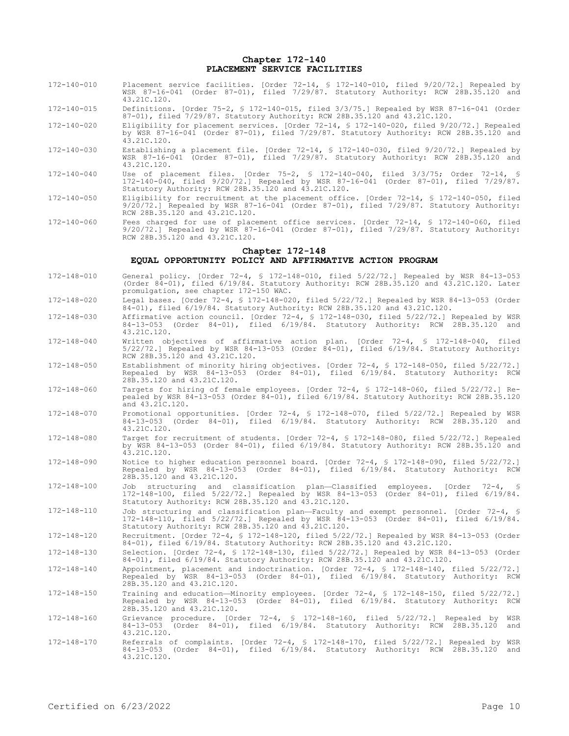### **Chapter 172-140 PLACEMENT SERVICE FACILITIES**

- 172-140-010 Placement service facilities. [Order 72-14, § 172-140-010, filed 9/20/72.] Repealed by WSR 87-16-041 (Order 87-01), filed 7/29/87. Statutory Authority: RCW 28B.35.120 and 43.21C.120.
- 172-140-015 Definitions. [Order 75-2, § 172-140-015, filed 3/3/75.] Repealed by WSR 87-16-041 (Order 87-01), filed 7/29/87. Statutory Authority: RCW 28B.35.120 and 43.21C.120.
- 172-140-020 Eligibility for placement services. [Order 72-14, § 172-140-020, filed 9/20/72.] Repealed by WSR 87-16-041 (Order 87-01), filed 7/29/87. Statutory Authority: RCW 28B.35.120 and 43.21C.120.
- 172-140-030 Establishing a placement file. [Order 72-14, § 172-140-030, filed 9/20/72.] Repealed by WSR 87-16-041 (Order 87-01), filed 7/29/87. Statutory Authority: RCW 28B.35.120 and 43.21C.120.
- 172-140-040 Use of placement files. [Order 75-2, § 172-140-040, filed 3/3/75; Order 72-14, § 172-140-040, filed 9/20/72.] Repealed by WSR 87-16-041 (Order 87-01), filed 7/29/87. Statutory Authority: RCW 28B.35.120 and 43.21C.120.
- 172-140-050 Eligibility for recruitment at the placement office. [Order 72-14, § 172-140-050, filed 9/20/72.] Repealed by WSR 87-16-041 (Order 87-01), filed 7/29/87. Statutory Authority: RCW 28B.35.120 and 43.21C.120.
- 172-140-060 Fees charged for use of placement office services. [Order 72-14, § 172-140-060, filed 9/20/72.] Repealed by WSR 87-16-041 (Order 87-01), filed 7/29/87. Statutory Authority: RCW 28B.35.120 and 43.21C.120.

#### **Chapter 172-148**

## **EQUAL OPPORTUNITY POLICY AND AFFIRMATIVE ACTION PROGRAM**

- 172-148-010 General policy. [Order 72-4, § 172-148-010, filed 5/22/72.] Repealed by WSR 84-13-053 (Order 84-01), filed 6/19/84. Statutory Authority: RCW 28B.35.120 and 43.21C.120. Later promulgation, see chapter 172-150 WAC.
- 172-148-020 Legal bases. [Order 72-4, § 172-148-020, filed 5/22/72.] Repealed by WSR 84-13-053 (Order 84-01), filed 6/19/84. Statutory Authority: RCW 28B.35.120 and 43.21C.120.
- 172-148-030 Affirmative action council. [Order 72-4, § 172-148-030, filed 5/22/72.] Repealed by WSR 84-13-053 (Order 84-01), filed 6/19/84. Statutory Authority: RCW 28B.35.120 and 43.21C.120.
- 172-148-040 Written objectives of affirmative action plan. [Order 72-4, § 172-148-040, filed 5/22/72.] Repealed by WSR 84-13-053 (Order 84-01), filed 6/19/84. Statutory Authority: RCW 28B.35.120 and 43.21C.120.
- 172-148-050 Establishment of minority hiring objectives. [Order 72-4, § 172-148-050, filed 5/22/72.] Repealed by WSR 84-13-053 (Order 84-01), filed 6/19/84. Statutory Authority: RCW 28B.35.120 and 43.21C.120.
- 172-148-060 Targets for hiring of female employees. [Order 72-4, § 172-148-060, filed 5/22/72.] Repealed by WSR 84-13-053 (Order 84-01), filed 6/19/84. Statutory Authority: RCW 28B.35.120 and 43.21C.120.
- 172-148-070 Promotional opportunities. [Order 72-4, § 172-148-070, filed 5/22/72.] Repealed by WSR 84-13-053 (Order 84-01), filed 6/19/84. Statutory Authority: RCW 28B.35.120 and 43.21C.120.
- 172-148-080 Target for recruitment of students. [Order 72-4, § 172-148-080, filed 5/22/72.] Repealed by WSR 84-13-053 (Order 84-01), filed 6/19/84. Statutory Authority: RCW 28B.35.120 and 43.21C.120.
- 172-148-090 Notice to higher education personnel board. [Order 72-4, § 172-148-090, filed 5/22/72.] Repealed by WSR 84-13-053 (Order 84-01), filed 6/19/84. Statutory Authority: RCW 28B.35.120 and 43.21C.120.
- 172-148-100 Job structuring and classification plan—Classified employees. [Order 72-4, § 172-148-100, filed 5/22/72.] Repealed by WSR 84-13-053 (Order 84-01), filed 6/19/84. Statutory Authority: RCW 28B.35.120 and 43.21C.120.
- 172-148-110 Job structuring and classification plan—Faculty and exempt personnel. [Order 72-4, § 172-148-110, filed 5/22/72.] Repealed by WSR 84-13-053 (Order 84-01), filed 6/19/84. Statutory Authority: RCW 28B.35.120 and 43.21C.120.
- 172-148-120 Recruitment. [Order 72-4, § 172-148-120, filed 5/22/72.] Repealed by WSR 84-13-053 (Order 84-01), filed 6/19/84. Statutory Authority: RCW 28B.35.120 and 43.21C.120.
- 172-148-130 Selection. [Order 72-4, § 172-148-130, filed 5/22/72.] Repealed by WSR 84-13-053 (Order 84-01), filed 6/19/84. Statutory Authority: RCW 28B.35.120 and 43.21C.120.
- 172-148-140 Appointment, placement and indoctrination. [Order 72-4, § 172-148-140, filed 5/22/72.] Repealed by WSR 84-13-053 (Order 84-01), filed 6/19/84. Statutory Authority: RCW 28B.35.120 and 43.21C.120.
- 172-148-150 Training and education—Minority employees. [Order 72-4, § 172-148-150, filed 5/22/72.] Repealed by WSR 84-13-053 (Order 84-01), filed 6/19/84. Statutory Authority: RCW 28B.35.120 and 43.21C.120.
- 172-148-160 Grievance procedure. [Order 72-4, § 172-148-160, filed 5/22/72.] Repealed by WSR  $(0$ rder 84-01), filed  $6/19/84$ . Statutory Authority: RCW 28B.35.120 and 43.21C.120.
- 172-148-170 Referrals of complaints. [Order 72-4, § 172-148-170, filed 5/22/72.] Repealed by WSR 84-13-053 (Order 84-01), filed 6/19/84. Statutory Authority: RCW 28B.35.120 and 43.21C.120.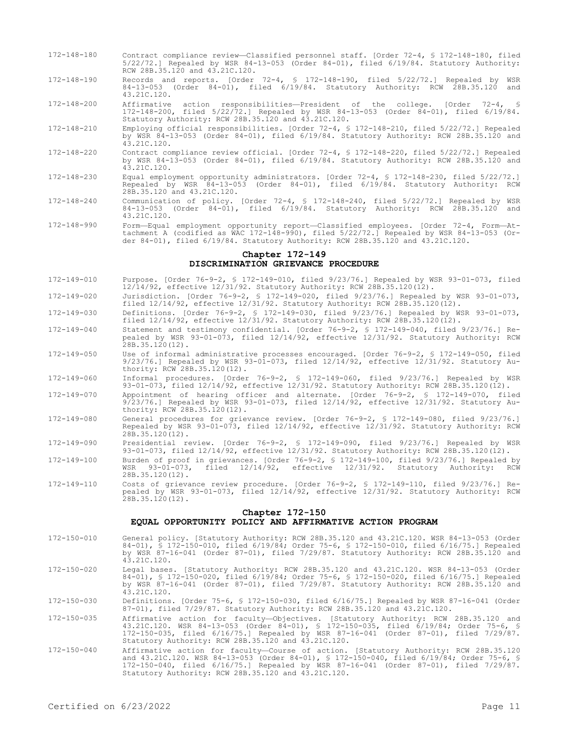- 172-148-180 Contract compliance review—Classified personnel staff. [Order 72-4, § 172-148-180, filed 5/22/72.] Repealed by WSR 84-13-053 (Order 84-01), filed 6/19/84. Statutory Authority: RCW 28B.35.120 and 43.21C.120.
- 172-148-190 Records and reports. [Order 72-4, § 172-148-190, filed 5/22/72.] Repealed by WSR 84-13-053 (Order 84-01), filed 6/19/84. Statutory Authority: RCW 28B.35.120 and 43.21C.120.
- 172-148-200 Affirmative action responsibilities—President of the college. [Order 72-4, § 172-148-200, filed 5/22/72.] Repealed by WSR 84-13-053 (Order 84-01), filed 6/19/84. Statutory Authority: RCW 28B.35.120 and 43.21C.120.
- 172-148-210 Employing official responsibilities. [Order 72-4, § 172-148-210, filed 5/22/72.] Repealed by WSR 84-13-053 (Order 84-01), filed 6/19/84. Statutory Authority: RCW 28B.35.120 and 43.21C.120.
- 172-148-220 Contract compliance review official. [Order 72-4, § 172-148-220, filed 5/22/72.] Repealed by WSR 84-13-053 (Order 84-01), filed 6/19/84. Statutory Authority: RCW 28B.35.120 and 43.21C.120.
- 172-148-230 Equal employment opportunity administrators. [Order 72-4, § 172-148-230, filed 5/22/72.] Repealed by WSR 84-13-053 (Order 84-01), filed 6/19/84. Statutory Authority: RCW 28B.35.120 and 43.21C.120.
- 172-148-240 Communication of policy. [Order 72-4, § 172-148-240, filed 5/22/72.] Repealed by WSR 84-13-053 (Order 84-01), filed 6/19/84. Statutory Authority: RCW 28B.35.120 and 43.21C.120.
- 172-148-990 Form—Equal employment opportunity report—Classified employees. [Order 72-4, Form—Attachment A (codified as WAC 172-148-990), filed 5/22/72.] Repealed by WSR 84-13-053 (Order 84-01), filed 6/19/84. Statutory Authority: RCW 28B.35.120 and 43.21C.120.

## **Chapter 172-149 DISCRIMINATION GRIEVANCE PROCEDURE**

- 172-149-010 Purpose. [Order 76-9-2, § 172-149-010, filed 9/23/76.] Repealed by WSR 93-01-073, filed 12/14/92, effective 12/31/92. Statutory Authority: RCW 28B.35.120(12).
- 172-149-020 Jurisdiction. [Order 76-9-2, § 172-149-020, filed 9/23/76.] Repealed by WSR 93-01-073, filed 12/14/92, effective 12/31/92. Statutory Authority: RCW 28B.35.120(12).
- 172-149-030 Definitions. [Order 76-9-2, § 172-149-030, filed 9/23/76.] Repealed by WSR 93-01-073, filed 12/14/92, effective 12/31/92. Statutory Authority: RCW 28B.35.120(12).
- 172-149-040 Statement and testimony confidential. [Order 76-9-2, § 172-149-040, filed 9/23/76.] Repealed by WSR 93-01-073, filed 12/14/92, effective 12/31/92. Statutory Authority: RCW 28B.35.120(12).
- 172-149-050 Use of informal administrative processes encouraged. [Order 76-9-2, § 172-149-050, filed 9/23/76.] Repealed by WSR 93-01-073, filed 12/14/92, effective 12/31/92. Statutory Authority: RCW 28B.35.120(12).
- 172-149-060 Informal procedures. [Order 76-9-2, § 172-149-060, filed 9/23/76.] Repealed by WSR 93-01-073, filed 12/14/92, effective 12/31/92. Statutory Authority: RCW 28B.35.120(12).
- 172-149-070 Appointment of hearing officer and alternate. [Order 76-9-2, § 172-149-070, filed 9/23/76.] Repealed by WSR 93-01-073, filed 12/14/92, effective 12/31/92. Statutory Authority: RCW 28B.35.120(12).
- 172-149-080 General procedures for grievance review. [Order 76-9-2, § 172-149-080, filed 9/23/76.] Repealed by WSR 93-01-073, filed 12/14/92, effective 12/31/92. Statutory Authority: RCW 28B.35.120(12).
- 172-149-090 Presidential review. [Order 76-9-2, § 172-149-090, filed 9/23/76.] Repealed by WSR 93-01-073, filed 12/14/92, effective 12/31/92. Statutory Authority: RCW 28B.35.120(12).
- 172-149-100 Burden of proof in grievances. [Order 76-9-2, § 172-149-100, filed 9/23/76.] Repealed by WSR 93-01-073, filed 12/14/92, effective 12/31/92. Statutory Authority: RCW 28B.35.120(12).
- 172-149-110 Costs of grievance review procedure. [Order 76-9-2, § 172-149-110, filed 9/23/76.] Repealed by WSR 93-01-073, filed 12/14/92, effective 12/31/92. Statutory Authority: RCW 28B.35.120(12).

#### **Chapter 172-150**

## **EQUAL OPPORTUNITY POLICY AND AFFIRMATIVE ACTION PROGRAM**

- 172-150-010 General policy. [Statutory Authority: RCW 28B.35.120 and 43.21C.120. WSR 84-13-053 (Order 84-01), § 172-150-010, filed 6/19/84; Order 75-6, § 172-150-010, filed 6/16/75.] Repealed by WSR 87-16-041 (Order 87-01), filed 7/29/87. Statutory Authority: RCW 28B.35.120 and 43.21C.120.
- 172-150-020 Legal bases. [Statutory Authority: RCW 28B.35.120 and 43.21C.120. WSR 84-13-053 (Order 84-01), § 172-150-020, filed 6/19/84; Order 75-6, § 172-150-020, filed 6/16/75.] Repealed by WSR 87-16-041 (Order 87-01), filed 7/29/87. Statutory Authority: RCW 28B.35.120 and 43.21C.120.
- 172-150-030 Definitions. [Order 75-6, § 172-150-030, filed 6/16/75.] Repealed by WSR 87-16-041 (Order 87-01), filed 7/29/87. Statutory Authority: RCW 28B.35.120 and 43.21C.120.
- 172-150-035 Affirmative action for faculty—Objectives. [Statutory Authority: RCW 28B.35.120 and 43.21C.120. WSR 84-13-053 (Order 84-01), § 172-150-035, filed 6/19/84; Order 75-6, § 172-150-035, filed 6/16/75.] Repealed by WSR 87-16-041 (Order 87-01), filed 7/29/87. Statutory Authority: RCW 28B.35.120 and 43.21C.120.
- 172-150-040 Affirmative action for faculty—Course of action. [Statutory Authority: RCW 28B.35.120 and 43.21C.120. WSR 84-13-053 (Order 84-01), § 172-150-040, filed 6/19/84; Order 75-6, § 172-150-040, filed 6/16/75.] Repealed by WSR 87-16-041 (Order 87-01), filed 7/29/87. Statutory Authority: RCW 28B.35.120 and 43.21C.120.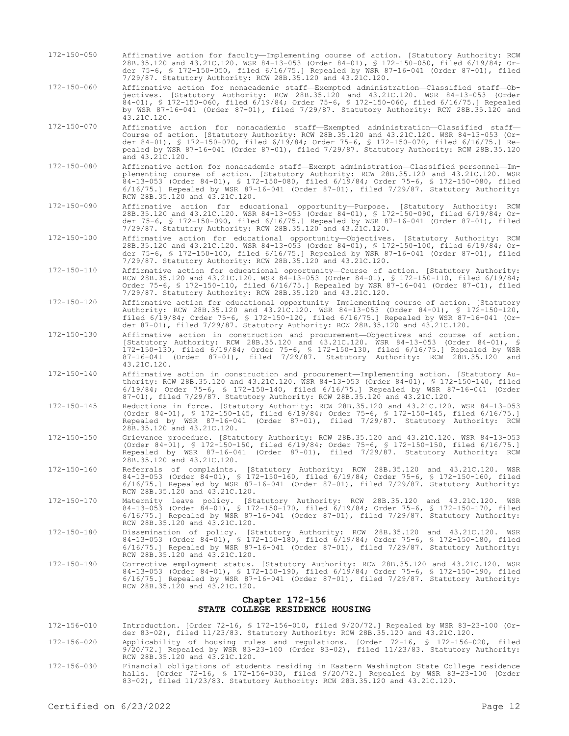- 172-150-050 Affirmative action for faculty—Implementing course of action. [Statutory Authority: RCW 28B.35.120 and 43.21C.120. WSR 84-13-053 (Order 84-01), § 172-150-050, filed 6/19/84; Order 75-6, § 172-150-050, filed 6/16/75.] Repealed by WSR 87-16-041 (Order 87-01), filed 7/29/87. Statutory Authority: RCW 28B.35.120 and 43.21C.120.
- 172-150-060 Affirmative action for nonacademic staff—Exempted administration—Classified staff—Objectives. [Statutory Authority: RCW 28B.35.120 and 43.21C.120. WSR 84-13-053 (Order 84-01), § 172-150-060, filed 6/19/84; Order 75-6, § 172-150-060, filed 6/16/75.] Repealed by WSR 87-16-041 (Order 87-01), filed 7/29/87. Statutory Authority: RCW 28B.35.120 and 43.21C.120.
- 172-150-070 Affirmative action for nonacademic staff—Exempted administration—Classified staff— Course of action. [Statutory Authority: RCW 28B.35.120 and 43.21C.120. WSR 84-13-053 (Order 84-01), § 172-150-070, filed 6/19/84; Order 75-6, § 172-150-070, filed 6/16/75.] Repealed by WSR 87-16-041 (Order 87-01), filed 7/29/87. Statutory Authority: RCW 28B.35.120 and  $43.21c.120$ .
- 172-150-080 Affirmative action for nonacademic staff—Exempt administration—Classified personnel—Implementing course of action. [Statutory Authority: RCW 28B.35.120 and 43.21C.120. WSR 84-13-053 (Order 84-01), § 172-150-080, filed 6/19/84; Order 75-6, § 172-150-080, filed 6/16/75.] Repealed by WSR 87-16-041 (Order 87-01), filed 7/29/87. Statutory Authority: RCW 28B.35.120 and 43.21C.120.
- 172-150-090 Affirmative action for educational opportunity—Purpose. [Statutory Authority: RCW 28B.35.120 and 43.21C.120. WSR 84-13-053 (Order 84-01), § 172-150-090, filed 6/19/84; Order 75-6, § 172-150-090, filed 6/16/75.] Repealed by WSR 87-16-041 (Order 87-01), filed 7/29/87. Statutory Authority: RCW 28B.35.120 and 43.21C.120.
- 172-150-100 Affirmative action for educational opportunity—Objectives. [Statutory Authority: RCW 28B.35.120 and 43.21C.120. WSR 84-13-053 (Order 84-01), § 172-150-100, filed 6/19/84; Order 75-6, § 172-150-100, filed 6/16/75.] Repealed by WSR 87-16-041 (Order 87-01), filed 7/29/87. Statutory Authority: RCW 28B.35.120 and 43.21C.120.
- 172-150-110 Affirmative action for educational opportunity—Course of action. [Statutory Authority: RCW 28B.35.120 and 43.21C.120. WSR 84-13-053 (Order 84-01), § 172-150-110, filed 6/19/84; Order 75-6, § 172-150-110, filed 6/16/75.] Repealed by WSR 87-16-041 (Order 87-01), filed 7/29/87. Statutory Authority: RCW 28B.35.120 and 43.21C.120.
- 172-150-120 Affirmative action for educational opportunity—Implementing course of action. [Statutory Authority: RCW 28B.35.120 and 43.21C.120. WSR 84-13-053 (Order 84-01), § 172-150-120, filed 6/19/84; Order 75-6, § 172-150-120, filed 6/16/75.] Repealed by WSR 87-16-041 (Order 87-01), filed 7/29/87. Statutory Authority: RCW 28B.35.120 and 43.21C.120.
- 172-150-130 Affirmative action in construction and procurement—Objectives and course of action. [Statutory Authority: RCW 28B.35.120 and 43.21C.120. WSR 84-13-053 (Order 84-01), § 172-150-130, filed 6/19/84; Order 75-6, § 172-150-130, filed 6/16/75.] Repealed by WSR 87-16-041 (Order 87-01), filed 7/29/87. Statutory Authority: RCW 28B.35.120 and 43.21C.120.
- 172-150-140 Affirmative action in construction and procurement—Implementing action. [Statutory Authority: RCW 28B.35.120 and 43.21C.120. WSR 84-13-053 (Order 84-01), § 172-150-140, filed 6/19/84; Order 75-6, § 172-150-140, filed 6/16/75.] Repealed by WSR 87-16-041 (Order 87-01), filed 7/29/87. Statutory Authority: RCW 28B.35.120 and 43.21C.120.
- 172-150-145 Reductions in force. [Statutory Authority: RCW 28B.35.120 and 43.21C.120. WSR 84-13-053 (Order 84-01), § 172-150-145, filed 6/19/84; Order 75-6, § 172-150-145, filed 6/16/75.] Repealed by WSR 87-16-041 (Order 87-01), filed 7/29/87. Statutory Authority: RCW 28B.35.120 and 43.21C.120.
- 172-150-150 Grievance procedure. [Statutory Authority: RCW 28B.35.120 and 43.21C.120. WSR 84-13-053 (Order 84-01), § 172-150-150, filed 6/19/84; Order 75-6, § 172-150-150, filed 6/16/75.] Repealed by WSR 87-16-041 (Order 87-01), filed 7/29/87. Statutory Authority: RCW 28B.35.120 and 43.21C.120.
- 172-150-160 Referrals of complaints. [Statutory Authority: RCW 28B.35.120 and 43.21C.120. WSR 84-13-053 (Order 84-01), § 172-150-160, filed 6/19/84; Order 75-6, § 172-150-160, filed 6/16/75.] Repealed by WSR 87-16-041 (Order 87-01), filed 7/29/87. Statutory Authority: RCW 28B.35.120 and 43.21C.120.
- 172-150-170 Maternity leave policy. [Statutory Authority: RCW 28B.35.120 and 43.21C.120. WSR 84-13-053 (Order 84-01), § 172-150-170, filed 6/19/84; Order 75-6, § 172-150-170, filed 6/16/75.] Repealed by WSR 87-16-041 (Order 87-01), filed 7/29/87. Statutory Authority: RCW 28B.35.120 and 43.21C.120.
- 172-150-180 Dissemination of policy. [Statutory Authority: RCW 28B.35.120 and 43.21C.120. WSR 84-13-053 (Order 84-01), § 172-150-180, filed 6/19/84; Order 75-6, § 172-150-180, filed 6/16/75.] Repealed by WSR 87-16-041 (Order 87-01), filed 7/29/87. Statutory Authority: RCW 28B.35.120 and 43.21C.120.
- 172-150-190 Corrective employment status. [Statutory Authority: RCW 28B.35.120 and 43.21C.120. WSR 84-13-053 (Order 84-01), § 172-150-190, filed 6/19/84; Order 75-6, § 172-150-190, filed 6/16/75.] Repealed by WSR 87-16-041 (Order 87-01), filed 7/29/87. Statutory Authority: RCW 28B.35.120 and 43.21C.120.

### **Chapter 172-156 STATE COLLEGE RESIDENCE HOUSING**

- 172-156-010 Introduction. [Order 72-16, § 172-156-010, filed 9/20/72.] Repealed by WSR 83-23-100 (Or-der 83-02), filed 11/23/83. Statutory Authority: RCW 28B.35.120 and 43.21C.120.
- 172-156-020 Applicability of housing rules and regulations. [Order 72-16, § 172-156-020, filed 9/20/72.] Repealed by WSR 83-23-100 (Order 83-02), filed 11/23/83. Statutory Authority: RCW 28B.35.120 and 43.21C.120.
- 172-156-030 Financial obligations of students residing in Eastern Washington State College residence halls. [Order 72-16, § 172-156-030, filed 9/20/72.] Repealed by WSR 83-23-100 (Order 83-02), filed 11/23/83. Statutory Authority: RCW 28B.35.120 and 43.21C.120.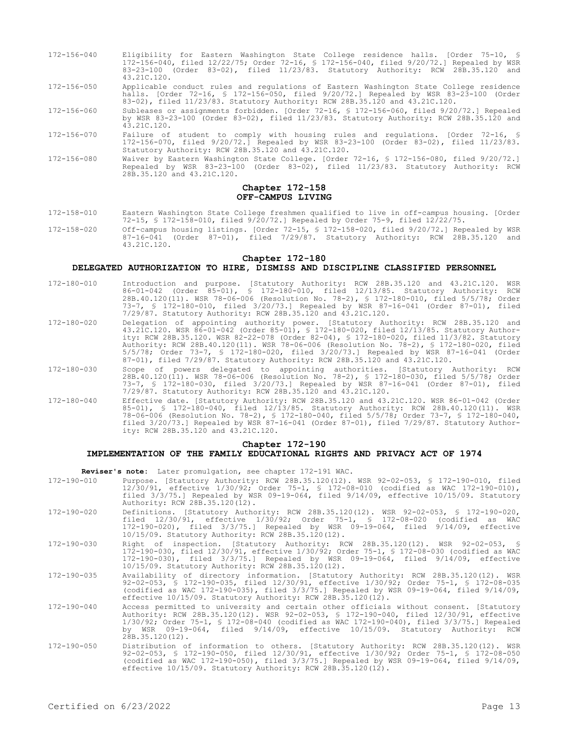- 172-156-040 Eligibility for Eastern Washington State College residence halls. [Order 75-10, § 172-156-040, filed 12/22/75; Order 72-16, § 172-156-040, filed 9/20/72.] Repealed by WSR 83-23-100 (Order 83-02), filed 11/23/83. Statutory Authority: RCW 28B.35.120 and 43.21C.120.
- 172-156-050 Applicable conduct rules and regulations of Eastern Washington State College residence halls. [Order 72-16, § 172-156-050, filed 9/20/72.] Repealed by WSR 83-23-100 (Order 83-02), filed 11/23/83. Statutory Authority: RCW 28B.35.120 and 43.21C.120.

172-156-060 Subleases or assignments forbidden. [Order 72-16, § 172-156-060, filed 9/20/72.] Repealed by WSR 83-23-100 (Order 83-02), filed 11/23/83. Statutory Authority: RCW 28B.35.120 and 43.21C.120.

- 172-156-070 Failure of student to comply with housing rules and regulations. [Order 72-16, 172-156-070, filed 9/20/72.] Repealed by WSR 83-23-100 (Order 83-02), filed 11/23/83. Statutory Authority: RCW 28B.35.120 and 43.21C.120.
- 172-156-080 Waiver by Eastern Washington State College. [Order 72-16, § 172-156-080, filed 9/20/72.] Repealed by WSR 83-23-100 (Order 83-02), filed 11/23/83. Statutory Authority: RCW 28B.35.120 and 43.21C.120.

### **Chapter 172-158 OFF-CAMPUS LIVING**

- 172-158-010 Eastern Washington State College freshmen qualified to live in off-campus housing. [Order 72-15, § 172-158-010, filed 9/20/72.] Repealed by Order 75-9, filed 12/22/75.
- 172-158-020 Off-campus housing listings. [Order 72-15, § 172-158-020, filed 9/20/72.] Repealed by WSR 87-16-041 (Order 87-01), filed 7/29/87. Statutory Authority: RCW 28B.35.120 and 43.21C.120.

#### **Chapter 172-180**

### **DELEGATED AUTHORIZATION TO HIRE, DISMISS AND DISCIPLINE CLASSIFIED PERSONNEL**

- 172-180-010 Introduction and purpose. [Statutory Authority: RCW 28B.35.120 and 43.21C.120. WSR 86-01-042 (Order 85-01), § 172-180-010, filed 12/13/85. Statutory Authority: RCW 28B.40.120(11). WSR 78-06-006 (Resolution No. 78-2), § 172-180-010, filed 5/5/78; Order 73-7, § 172-180-010, filed 3/20/73.] Repealed by WSR 87-16-041 (Order 87-01), filed 7/29/87. Statutory Authority: RCW 28B.35.120 and 43.21C.120.
- 172-180-020 Delegation of appointing authority power. [Statutory Authority: RCW 28B.35.120 and 43.21C.120. WSR 86-01-042 (Order 85-01), § 172-180-020, filed 12/13/85. Statutory Authority: RCW 28B.35.120. WSR 82-22-078 (Order 82-04), § 172-180-020, filed 11/3/82. Statutory Authority: RCW 28B.40.120(11). WSR 78-06-006 (Resolution No. 78-2), § 172-180-020, filed 5/5/78; Order 73-7, § 172-180-020, filed 3/20/73.] Repealed by WSR 87-16-041 (Order 87-01), filed 7/29/87. Statutory Authority: RCW 28B.35.120 and 43.21C.120.
- 172-180-030 Scope of powers delegated to appointing authorities. [Statutory Authority: RCW 28B.40.120(11). WSR 78-06-006 (Resolution No. 78-2), § 172-180-030, filed 5/5/78; Order 73-7, § 172-180-030, filed 3/20/73.] Repealed by WSR 87-16-041 (Order 87-01), filed 7/29/87. Statutory Authority: RCW 28B.35.120 and 43.21C.120.
- 172-180-040 Effective date. [Statutory Authority: RCW 28B.35.120 and 43.21C.120. WSR 86-01-042 (Order 85-01), § 172-180-040, filed 12/13/85. Statutory Authority: RCW 28B.40.120(11). WSR 78-06-006 (Resolution No. 78-2), § 172-180-040, filed 5/5/78; Order 73-7, § 172-180-040, filed 3/20/73.] Repealed by WSR 87-16-041 (Order 87-01), filed 7/29/87. Statutory Authority: RCW 28B.35.120 and 43.21C.120.

#### **Chapter 172-190**

# **IMPLEMENTATION OF THE FAMILY EDUCATIONAL RIGHTS AND PRIVACY ACT OF 1974**

**Reviser's note:** Later promulgation, see chapter 172-191 WAC.

| 172-190-010       | Purpose. [Statutory Authority: RCW 28B.35.120(12). WSR 92-02-053, § 172-190-010, filed<br>$12/30/91$ , effective $1/30/92$ ; Order 75-1, § 172-08-010 (codified as WAC 172-190-010),<br>filed $3/3/75$ .] Repealed by WSR 09-19-064, filed $9/14/09$ , effective $10/15/09$ . Statutory<br>Authority: RCW 28B.35.120(12).                                                           |
|-------------------|-------------------------------------------------------------------------------------------------------------------------------------------------------------------------------------------------------------------------------------------------------------------------------------------------------------------------------------------------------------------------------------|
| 172-190-020       | Definitions. [Statutory Authority: RCW 28B.35.120(12). WSR 92-02-053, § 172-190-020,<br>filed $12/30/91$ , effective $1/30/92$ ; Order 75-1, § 172-08-020 (codified as WAC<br>172-190-020), filed 3/3/75.] Repealed by WSR 09-19-064, filed 9/14/09, effective<br>10/15/09. Statutory Authority: RCW 28B.35.120(12).                                                                |
| 172-190-030       | Right of inspection. [Statutory Authority: RCW 28B.35.120(12). WSR 92-02-053, §<br>172-190-030, filed 12/30/91, effective 1/30/92; Order 75-1, § 172-08-030 (codified as WAC<br>172-190-030), filed 3/3/75.1 Repealed by WSR 09-19-064, filed 9/14/09, effective<br>10/15/09. Statutory Authority: RCW 28B.35.120(12).                                                              |
| $172 - 190 - 035$ | Availability of directory information. [Statutory Authority: RCW 28B.35.120(12). WSR<br>92-02-053, § 172-190-035, filed 12/30/91, effective 1/30/92; Order 75-1, § 172-08-035<br>(codified as WAC 172-190-035), filed $3/3/75$ . Repealed by WSR 09-19-064, filed $9/14/09$ ,<br>effective 10/15/09. Statutory Authority: RCW 28B.35.120(12).                                       |
| 172-190-040       | Access permitted to university and certain other officials without consent. [Statutory<br>Authority: RCW 28B.35.120(12). WSR 92-02-053, § 172-190-040, filed 12/30/91, effective<br>1/30/92; Order 75-1, § 172-08-040 (codified as WAC 172-190-040), filed 3/3/75.] Repealed<br>by WSR 09-19-064, filed 9/14/09, effective 10/15/09. Statutory Authority: RCW<br>$28B.35.120(12)$ . |
| 172-190-050       | Distribution of information to others. [Statutory Authority: RCW 28B.35.120(12). WSR<br>92-02-053, § 172-190-050, filed 12/30/91, effective 1/30/92; Order 75-1, § 172-08-050<br>(codified as WAC 172-190-050), filed $3/3/75$ .] Repealed by WSR 09-19-064, filed $9/14/09$ ,<br>effective $10/15/09$ . Statutory Authority: RCW 28B, 35, 120(12).                                 |